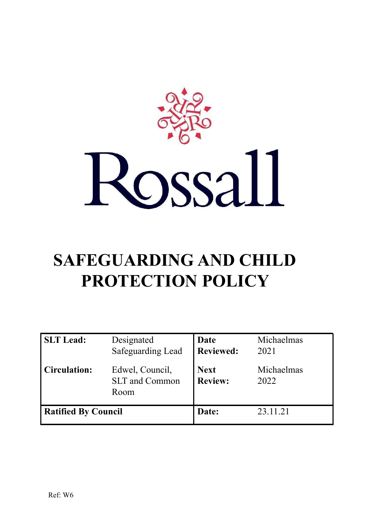

# **SAFEGUARDING AND CHILD PROTECTION POLICY**

| <b>SLT</b> Lead:           | Designated<br><b>Safeguarding Lead</b>           | Date<br><b>Reviewed:</b>      | Michaelmas<br>2021 |
|----------------------------|--------------------------------------------------|-------------------------------|--------------------|
| <b>Circulation:</b>        | Edwel, Council,<br><b>SLT</b> and Common<br>Room | <b>Next</b><br><b>Review:</b> | Michaelmas<br>2022 |
| <b>Ratified By Council</b> |                                                  | Date:                         | 23.11.21           |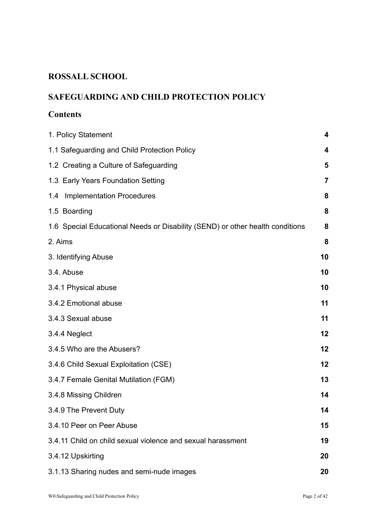# **ROSSALL SCHOOL**

# **SAFEGUARDING AND CHILD PROTECTION POLICY**

# **Contents**

| 1. Policy Statement                                                           | 4  |
|-------------------------------------------------------------------------------|----|
| 1.1 Safeguarding and Child Protection Policy                                  | 4  |
| 1.2 Creating a Culture of Safeguarding                                        | 5  |
| 1.3 Early Years Foundation Setting                                            | 7  |
| <b>Implementation Procedures</b><br>1.4                                       | 8  |
| 1.5 Boarding                                                                  | 8  |
| 1.6 Special Educational Needs or Disability (SEND) or other health conditions | 8  |
| 2. Aims                                                                       | 8  |
| 3. Identifying Abuse                                                          | 10 |
| 3.4. Abuse                                                                    | 10 |
| 3.4.1 Physical abuse                                                          | 10 |
| 3.4.2 Emotional abuse                                                         | 11 |
| 3.4.3 Sexual abuse                                                            | 11 |
| 3.4.4 Neglect                                                                 | 12 |
| 3.4.5 Who are the Abusers?                                                    | 12 |
| 3.4.6 Child Sexual Exploitation (CSE)                                         | 12 |
| 3.4.7 Female Genital Mutilation (FGM)                                         | 13 |
| 3.4.8 Missing Children                                                        | 14 |
| 3.4.9 The Prevent Duty                                                        | 14 |
| 3.4.10 Peer on Peer Abuse                                                     | 15 |
| 3.4.11 Child on child sexual violence and sexual harassment                   | 19 |
| 3.4.12 Upskirting                                                             | 20 |
| 3.1.13 Sharing nudes and semi-nude images                                     | 20 |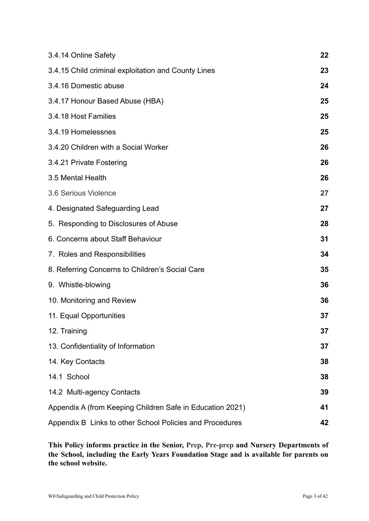| 3.4.14 Online Safety                                      | 22 |
|-----------------------------------------------------------|----|
| 3.4.15 Child criminal exploitation and County Lines       | 23 |
| 3.4.16 Domestic abuse                                     | 24 |
| 3.4.17 Honour Based Abuse (HBA)                           | 25 |
| 3.4.18 Host Families                                      | 25 |
| 3.4.19 Homelessnes                                        | 25 |
| 3.4.20 Children with a Social Worker                      | 26 |
| 3.4.21 Private Fostering                                  | 26 |
| 3.5 Mental Health                                         | 26 |
| 3.6 Serious Violence                                      | 27 |
| 4. Designated Safeguarding Lead                           | 27 |
| 5. Responding to Disclosures of Abuse                     | 28 |
| 6. Concerns about Staff Behaviour                         | 31 |
| 7. Roles and Responsibilities                             | 34 |
| 8. Referring Concerns to Children's Social Care           | 35 |
| 9. Whistle-blowing                                        | 36 |
| 10. Monitoring and Review                                 | 36 |
| 11. Equal Opportunities                                   | 37 |
| 12. Training                                              | 37 |
| 13. Confidentiality of Information                        | 37 |
| 14. Key Contacts                                          | 38 |
| 14.1 School                                               | 38 |
| 14.2 Multi-agency Contacts                                | 39 |
| Appendix A (from Keeping Children Safe in Education 2021) | 41 |
| Appendix B Links to other School Policies and Procedures  | 42 |

**This Policy informs practice in the Senior, Prep, Pre-prep and Nursery Departments of the School, including the Early Years Foundation Stage and is available for parents on the school website.**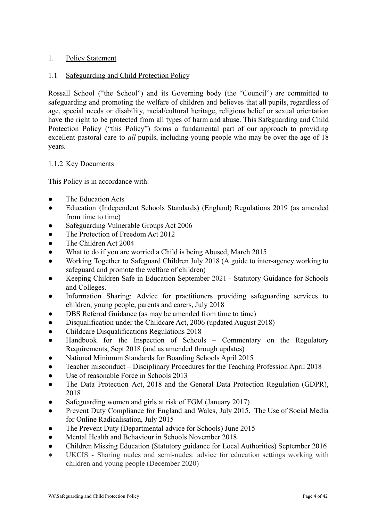# <span id="page-3-0"></span>1. Policy Statement

# <span id="page-3-1"></span>1.1 Safeguarding and Child Protection Policy

Rossall School ("the School") and its Governing body (the "Council") are committed to safeguarding and promoting the welfare of children and believes that all pupils, regardless of age, special needs or disability, racial/cultural heritage, religious belief or sexual orientation have the right to be protected from all types of harm and abuse. This Safeguarding and Child Protection Policy ("this Policy") forms a fundamental part of our approach to providing excellent pastoral care to *all* pupils, including young people who may be over the age of 18 years.

# 1.1.2 Key Documents

This Policy is in accordance with:

- The Education Acts
- Education (Independent Schools Standards) (England) Regulations 2019 (as amended from time to time)
- Safeguarding Vulnerable Groups Act 2006
- The Protection of Freedom Act 2012
- The Children Act 2004
- What to do if you are worried a Child is being Abused, March 2015
- Working Together to Safeguard Children July 2018 (A guide to inter-agency working to safeguard and promote the welfare of children)
- Keeping Children Safe in Education September 2021 Statutory Guidance for Schools and Colleges.
- Information Sharing: Advice for practitioners providing safeguarding services to children, young people, parents and carers, July 2018
- DBS Referral Guidance (as may be amended from time to time)
- Disqualification under the Childcare Act, 2006 (updated August 2018)
- Childcare Disqualifications Regulations 2018
- Handbook for the Inspection of Schools Commentary on the Regulatory Requirements, Sept 2018 (and as amended through updates)
- National Minimum Standards for Boarding Schools April 2015
- Teacher misconduct Disciplinary Procedures for the Teaching Profession April 2018
- Use of reasonable Force in Schools 2013
- The Data Protection Act, 2018 and the General Data Protection Regulation (GDPR), 2018
- Safeguarding women and girls at risk of FGM (January 2017)
- Prevent Duty Compliance for England and Wales, July 2015. The Use of Social Media for Online Radicalisation, July 2015
- The Prevent Duty (Departmental advice for Schools) June 2015
- Mental Health and Behaviour in Schools November 2018
- Children Missing Education (Statutory guidance for Local Authorities) September 2016
- UKCIS Sharing nudes and semi-nudes: advice for education settings working with children and young people (December 2020)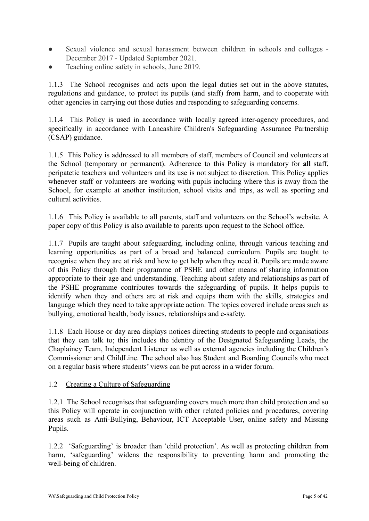- Sexual violence and sexual harassment between children in schools and colleges December 2017 - Updated September 2021.
- Teaching online safety in schools, June 2019.

1.1.3 The School recognises and acts upon the legal duties set out in the above statutes, regulations and guidance, to protect its pupils (and staff) from harm, and to cooperate with other agencies in carrying out those duties and responding to safeguarding concerns.

1.1.4 This Policy is used in accordance with locally agreed inter-agency procedures, and specifically in accordance with Lancashire Children's Safeguarding Assurance Partnership (CSAP) guidance.

1.1.5 This Policy is addressed to all members of staff, members of Council and volunteers at the School (temporary or permanent). Adherence to this Policy is mandatory for **all** staff, peripatetic teachers and volunteers and its use is not subject to discretion. This Policy applies whenever staff or volunteers are working with pupils including where this is away from the School, for example at another institution, school visits and trips, as well as sporting and cultural activities.

1.1.6 This Policy is available to all parents, staff and volunteers on the School's website. A paper copy of this Policy is also available to parents upon request to the School office.

1.1.7 Pupils are taught about safeguarding, including online, through various teaching and learning opportunities as part of a broad and balanced curriculum. Pupils are taught to recognise when they are at risk and how to get help when they need it. Pupils are made aware of this Policy through their programme of PSHE and other means of sharing information appropriate to their age and understanding. Teaching about safety and relationships as part of the PSHE programme contributes towards the safeguarding of pupils. It helps pupils to identify when they and others are at risk and equips them with the skills, strategies and language which they need to take appropriate action. The topics covered include areas such as bullying, emotional health, body issues, relationships and e-safety.

1.1.8 Each House or day area displays notices directing students to people and organisations that they can talk to; this includes the identity of the Designated Safeguarding Leads, the Chaplaincy Team, Independent Listener as well as external agencies including the Children's Commissioner and ChildLine. The school also has Student and Boarding Councils who meet on a regular basis where students' views can be put across in a wider forum.

# <span id="page-4-0"></span>1.2 Creating a Culture of Safeguarding

1.2.1 The School recognises that safeguarding covers much more than child protection and so this Policy will operate in conjunction with other related policies and procedures, covering areas such as Anti-Bullying, Behaviour, ICT Acceptable User, online safety and Missing Pupils.

1.2.2 'Safeguarding' is broader than 'child protection'. As well as protecting children from harm, 'safeguarding' widens the responsibility to preventing harm and promoting the well-being of children.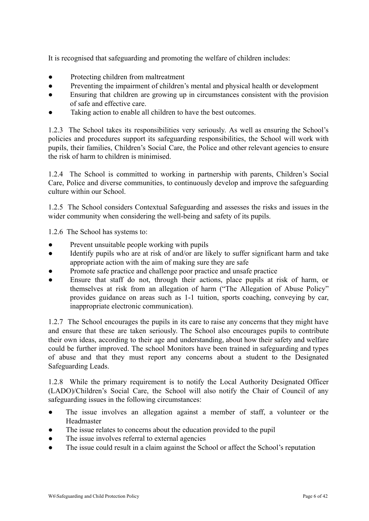It is recognised that safeguarding and promoting the welfare of children includes:

- Protecting children from maltreatment
- Preventing the impairment of children's mental and physical health or development
- Ensuring that children are growing up in circumstances consistent with the provision of safe and effective care.
- Taking action to enable all children to have the best outcomes.

1.2.3 The School takes its responsibilities very seriously. As well as ensuring the School's policies and procedures support its safeguarding responsibilities, the School will work with pupils, their families, Children's Social Care, the Police and other relevant agencies to ensure the risk of harm to children is minimised.

1.2.4 The School is committed to working in partnership with parents, Children's Social Care, Police and diverse communities, to continuously develop and improve the safeguarding culture within our School.

1.2.5 The School considers Contextual Safeguarding and assesses the risks and issues in the wider community when considering the well-being and safety of its pupils.

1.2.6 The School has systems to:

- Prevent unsuitable people working with pupils
- Identify pupils who are at risk of and/or are likely to suffer significant harm and take appropriate action with the aim of making sure they are safe
- Promote safe practice and challenge poor practice and unsafe practice
- Ensure that staff do not, through their actions, place pupils at risk of harm, or themselves at risk from an allegation of harm ("The Allegation of Abuse Policy" provides guidance on areas such as 1-1 tuition, sports coaching, conveying by car, inappropriate electronic communication).

1.2.7 The School encourages the pupils in its care to raise any concerns that they might have and ensure that these are taken seriously. The School also encourages pupils to contribute their own ideas, according to their age and understanding, about how their safety and welfare could be further improved. The school Monitors have been trained in safeguarding and types of abuse and that they must report any concerns about a student to the Designated Safeguarding Leads.

1.2.8 While the primary requirement is to notify the Local Authority Designated Officer (LADO)/Children's Social Care, the School will also notify the Chair of Council of any safeguarding issues in the following circumstances:

- The issue involves an allegation against a member of staff, a volunteer or the Headmaster
- The issue relates to concerns about the education provided to the pupil
- The issue involves referral to external agencies
- The issue could result in a claim against the School or affect the School's reputation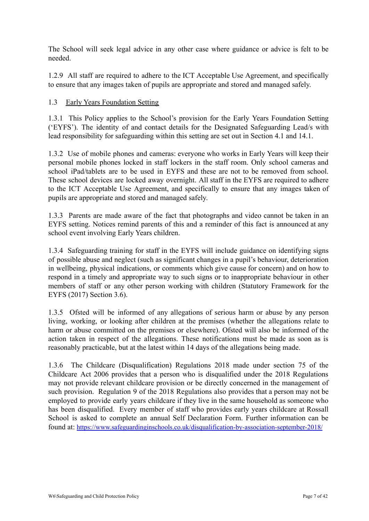The School will seek legal advice in any other case where guidance or advice is felt to be needed.

1.2.9 All staff are required to adhere to the ICT Acceptable Use Agreement, and specifically to ensure that any images taken of pupils are appropriate and stored and managed safely.

# <span id="page-6-0"></span>1.3 Early Years Foundation Setting

1.3.1 This Policy applies to the School's provision for the Early Years Foundation Setting ('EYFS'). The identity of and contact details for the Designated Safeguarding Lead/s with lead responsibility for safeguarding within this setting are set out in Section 4.1 and 14.1.

1.3.2 Use of mobile phones and cameras: everyone who works in Early Years will keep their personal mobile phones locked in staff lockers in the staff room. Only school cameras and school iPad/tablets are to be used in EYFS and these are not to be removed from school. These school devices are locked away overnight. All staff in the EYFS are required to adhere to the ICT Acceptable Use Agreement, and specifically to ensure that any images taken of pupils are appropriate and stored and managed safely.

1.3.3 Parents are made aware of the fact that photographs and video cannot be taken in an EYFS setting. Notices remind parents of this and a reminder of this fact is announced at any school event involving Early Years children.

1.3.4 Safeguarding training for staff in the EYFS will include guidance on identifying signs of possible abuse and neglect (such as significant changes in a pupil's behaviour, deterioration in wellbeing, physical indications, or comments which give cause for concern) and on how to respond in a timely and appropriate way to such signs or to inappropriate behaviour in other members of staff or any other person working with children (Statutory Framework for the EYFS (2017) Section 3.6).

1.3.5 Ofsted will be informed of any allegations of serious harm or abuse by any person living, working, or looking after children at the premises (whether the allegations relate to harm or abuse committed on the premises or elsewhere). Ofsted will also be informed of the action taken in respect of the allegations. These notifications must be made as soon as is reasonably practicable, but at the latest within 14 days of the allegations being made.

1.3.6 The Childcare (Disqualification) Regulations 2018 made under section 75 of the Childcare Act 2006 provides that a person who is disqualified under the 2018 Regulations may not provide relevant childcare provision or be directly concerned in the management of such provision. Regulation 9 of the 2018 Regulations also provides that a person may not be employed to provide early years childcare if they live in the same household as someone who has been disqualified. Every member of staff who provides early years childcare at Rossall School is asked to complete an annual Self Declaration Form. Further information can be found at: <https://www.safeguardinginschools.co.uk/disqualification-by-association-september-2018/>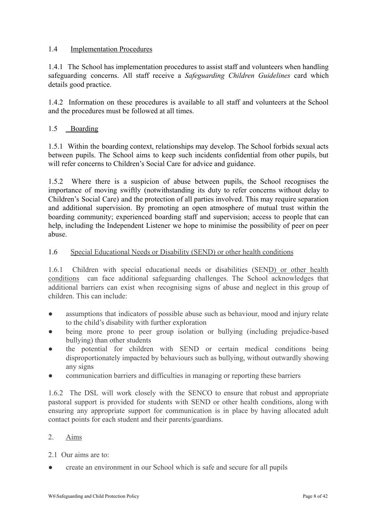# <span id="page-7-0"></span>1.4 Implementation Procedures

1.4.1 The School has implementation procedures to assist staff and volunteers when handling safeguarding concerns. All staff receive a *Safeguarding Children Guidelines* card which details good practice.

1.4.2 Information on these procedures is available to all staff and volunteers at the School and the procedures must be followed at all times.

## <span id="page-7-1"></span>1.5 Boarding

1.5.1 Within the boarding context, relationships may develop. The School forbids sexual acts between pupils. The School aims to keep such incidents confidential from other pupils, but will refer concerns to Children's Social Care for advice and guidance.

1.5.2 Where there is a suspicion of abuse between pupils, the School recognises the importance of moving swiftly (notwithstanding its duty to refer concerns without delay to Children's Social Care) and the protection of all parties involved. This may require separation and additional supervision. By promoting an open atmosphere of mutual trust within the boarding community; experienced boarding staff and supervision; access to people that can help, including the Independent Listener we hope to minimise the possibility of peer on peer abuse.

#### <span id="page-7-2"></span>1.6 Special Educational Needs or Disability (SEND) or other health conditions

1.6.1 Children with special educational needs or disabilities (SEND) or other health conditions can face additional safeguarding challenges. The School acknowledges that additional barriers can exist when recognising signs of abuse and neglect in this group of children. This can include:

- assumptions that indicators of possible abuse such as behaviour, mood and injury relate to the child's disability with further exploration
- being more prone to peer group isolation or bullying (including prejudice-based bullying) than other students
- the potential for children with SEND or certain medical conditions being disproportionately impacted by behaviours such as bullying, without outwardly showing any signs
- communication barriers and difficulties in managing or reporting these barriers

1.6.2 The DSL will work closely with the SENCO to ensure that robust and appropriate pastoral support is provided for students with SEND or other health conditions, along with ensuring any appropriate support for communication is in place by having allocated adult contact points for each student and their parents/guardians.

#### <span id="page-7-3"></span>2. Aims

2.1 Our aims are to:

create an environment in our School which is safe and secure for all pupils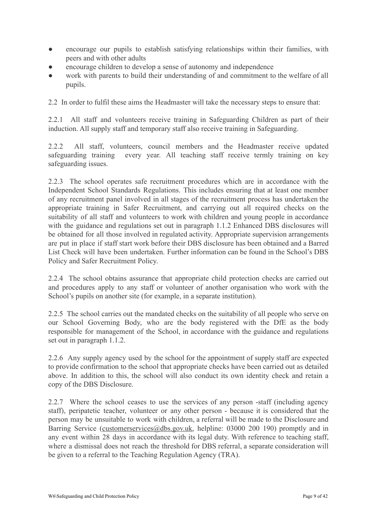- encourage our pupils to establish satisfying relationships within their families, with peers and with other adults
- encourage children to develop a sense of autonomy and independence
- work with parents to build their understanding of and commitment to the welfare of all pupils.

2.2 In order to fulfil these aims the Headmaster will take the necessary steps to ensure that:

2.2.1 All staff and volunteers receive training in Safeguarding Children as part of their induction. All supply staff and temporary staff also receive training in Safeguarding.

2.2.2 All staff, volunteers, council members and the Headmaster receive updated safeguarding training every year. All teaching staff receive termly training on key safeguarding issues.

2.2.3 The school operates safe recruitment procedures which are in accordance with the Independent School Standards Regulations. This includes ensuring that at least one member of any recruitment panel involved in all stages of the recruitment process has undertaken the appropriate training in Safer Recruitment, and carrying out all required checks on the suitability of all staff and volunteers to work with children and young people in accordance with the guidance and regulations set out in paragraph 1.1.2 Enhanced DBS disclosures will be obtained for all those involved in regulated activity. Appropriate supervision arrangements are put in place if staff start work before their DBS disclosure has been obtained and a Barred List Check will have been undertaken. Further information can be found in the School's DBS Policy and Safer Recruitment Policy.

2.2.4 The school obtains assurance that appropriate child protection checks are carried out and procedures apply to any staff or volunteer of another organisation who work with the School's pupils on another site (for example, in a separate institution).

2.2.5 The school carries out the mandated checks on the suitability of all people who serve on our School Governing Body, who are the body registered with the DfE as the body responsible for management of the School, in accordance with the guidance and regulations set out in paragraph 1.1.2.

2.2.6 Any supply agency used by the school for the appointment of supply staff are expected to provide confirmation to the school that appropriate checks have been carried out as detailed above. In addition to this, the school will also conduct its own identity check and retain a copy of the DBS Disclosure.

2.2.7 Where the school ceases to use the services of any person -staff (including agency staff), peripatetic teacher, volunteer or any other person - because it is considered that the person may be unsuitable to work with children, a referral will be made to the Disclosure and Barring Service [\(customerservices@dbs.gov.uk,](mailto:customerservices@dbs.gov.uk) helpline: 03000 200 190) promptly and in any event within 28 days in accordance with its legal duty. With reference to teaching staff, where a dismissal does not reach the threshold for DBS referral, a separate consideration will be given to a referral to the Teaching Regulation Agency (TRA).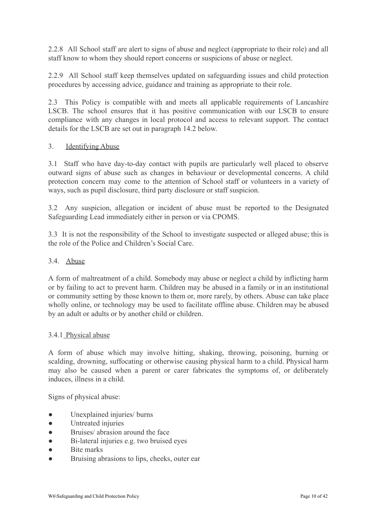2.2.8 All School staff are alert to signs of abuse and neglect (appropriate to their role) and all staff know to whom they should report concerns or suspicions of abuse or neglect.

2.2.9 All School staff keep themselves updated on safeguarding issues and child protection procedures by accessing advice, guidance and training as appropriate to their role.

2.3 This Policy is compatible with and meets all applicable requirements of Lancashire LSCB. The school ensures that it has positive communication with our LSCB to ensure compliance with any changes in local protocol and access to relevant support. The contact details for the LSCB are set out in paragraph 14.2 below.

# <span id="page-9-0"></span>3. Identifying Abuse

3.1 Staff who have day-to-day contact with pupils are particularly well placed to observe outward signs of abuse such as changes in behaviour or developmental concerns. A child protection concern may come to the attention of School staff or volunteers in a variety of ways, such as pupil disclosure, third party disclosure or staff suspicion.

3.2 Any suspicion, allegation or incident of abuse must be reported to the Designated Safeguarding Lead immediately either in person or via CPOMS.

3.3 It is not the responsibility of the School to investigate suspected or alleged abuse; this is the role of the Police and Children's Social Care.

#### <span id="page-9-1"></span>3.4. Abuse

A form of maltreatment of a child. Somebody may abuse or neglect a child by inflicting harm or by failing to act to prevent harm. Children may be abused in a family or in an institutional or community setting by those known to them or, more rarely, by others. Abuse can take place wholly online, or technology may be used to facilitate offline abuse. Children may be abused by an adult or adults or by another child or children.

#### <span id="page-9-2"></span>3.4.1 Physical abuse

A form of abuse which may involve hitting, shaking, throwing, poisoning, burning or scalding, drowning, suffocating or otherwise causing physical harm to a child. Physical harm may also be caused when a parent or carer fabricates the symptoms of, or deliberately induces, illness in a child.

Signs of physical abuse:

- **●** Unexplained injuries/ burns
- Untreated injuries
- Bruises/abrasion around the face
- Bi-lateral injuries e.g. two bruised eyes
- Bite marks
- Bruising abrasions to lips, cheeks, outer ear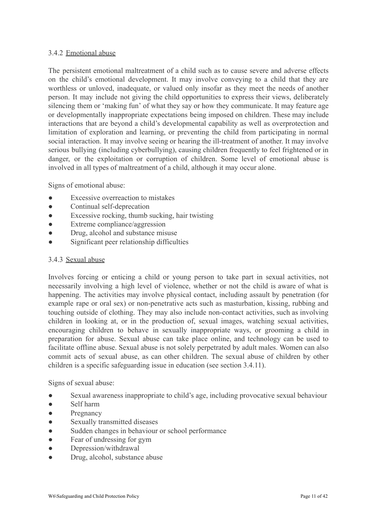#### <span id="page-10-0"></span>3.4.2 Emotional abuse

The persistent emotional maltreatment of a child such as to cause severe and adverse effects on the child's emotional development. It may involve conveying to a child that they are worthless or unloved, inadequate, or valued only insofar as they meet the needs of another person. It may include not giving the child opportunities to express their views, deliberately silencing them or 'making fun' of what they say or how they communicate. It may feature age or developmentally inappropriate expectations being imposed on children. These may include interactions that are beyond a child's developmental capability as well as overprotection and limitation of exploration and learning, or preventing the child from participating in normal social interaction. It may involve seeing or hearing the ill-treatment of another. It may involve serious bullying (including cyberbullying), causing children frequently to feel frightened or in danger, or the exploitation or corruption of children. Some level of emotional abuse is involved in all types of maltreatment of a child, although it may occur alone.

Signs of emotional abuse:

- Excessive overreaction to mistakes
- Continual self-deprecation
- Excessive rocking, thumb sucking, hair twisting
- Extreme compliance/aggression
- Drug, alcohol and substance misuse
- Significant peer relationship difficulties

# <span id="page-10-1"></span>3.4.3 Sexual abuse

Involves forcing or enticing a child or young person to take part in sexual activities, not necessarily involving a high level of violence, whether or not the child is aware of what is happening. The activities may involve physical contact, including assault by penetration (for example rape or oral sex) or non-penetrative acts such as masturbation, kissing, rubbing and touching outside of clothing. They may also include non-contact activities, such as involving children in looking at, or in the production of, sexual images, watching sexual activities, encouraging children to behave in sexually inappropriate ways, or grooming a child in preparation for abuse. Sexual abuse can take place online, and technology can be used to facilitate offline abuse. Sexual abuse is not solely perpetrated by adult males. Women can also commit acts of sexual abuse, as can other children. The sexual abuse of children by other children is a specific safeguarding issue in education (see section 3.4.11).

Signs of sexual abuse:

- Sexual awareness inappropriate to child's age, including provocative sexual behaviour
- Self harm
- Pregnancy
- Sexually transmitted diseases
- Sudden changes in behaviour or school performance
- Fear of undressing for gym
- Depression/withdrawal
- Drug, alcohol, substance abuse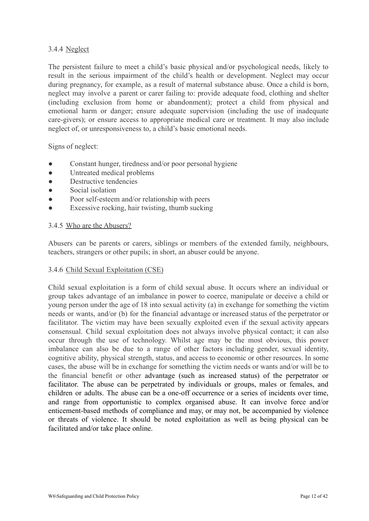## <span id="page-11-0"></span>3.4.4 Neglect

The persistent failure to meet a child's basic physical and/or psychological needs, likely to result in the serious impairment of the child's health or development. Neglect may occur during pregnancy, for example, as a result of maternal substance abuse. Once a child is born, neglect may involve a parent or carer failing to: provide adequate food, clothing and shelter (including exclusion from home or abandonment); protect a child from physical and emotional harm or danger; ensure adequate supervision (including the use of inadequate care-givers); or ensure access to appropriate medical care or treatment. It may also include neglect of, or unresponsiveness to, a child's basic emotional needs.

Signs of neglect:

- Constant hunger, tiredness and/or poor personal hygiene
- Untreated medical problems
- Destructive tendencies
- Social isolation
- Poor self-esteem and/or relationship with peers
- **●** Excessive rocking, hair twisting, thumb sucking

#### <span id="page-11-1"></span>3.4.5 Who are the Abusers?

Abusers can be parents or carers, siblings or members of the extended family, neighbours, teachers, strangers or other pupils; in short, an abuser could be anyone.

#### <span id="page-11-2"></span>3.4.6 Child Sexual Exploitation (CSE)

Child sexual exploitation is a form of child sexual abuse. It occurs where an individual or group takes advantage of an imbalance in power to coerce, manipulate or deceive a child or young person under the age of 18 into sexual activity (a) in exchange for something the victim needs or wants, and/or (b) for the financial advantage or increased status of the perpetrator or facilitator. The victim may have been sexually exploited even if the sexual activity appears consensual. Child sexual exploitation does not always involve physical contact; it can also occur through the use of technology. Whilst age may be the most obvious, this power imbalance can also be due to a range of other factors including gender, sexual identity, cognitive ability, physical strength, status, and access to economic or other resources. In some cases, the abuse will be in exchange for something the victim needs or wants and/or will be to the financial benefit or other advantage (such as increased status) of the perpetrator or facilitator. The abuse can be perpetrated by individuals or groups, males or females, and children or adults. The abuse can be a one-off occurrence or a series of incidents over time, and range from opportunistic to complex organised abuse. It can involve force and/or enticement-based methods of compliance and may, or may not, be accompanied by violence or threats of violence. It should be noted exploitation as well as being physical can be facilitated and/or take place online.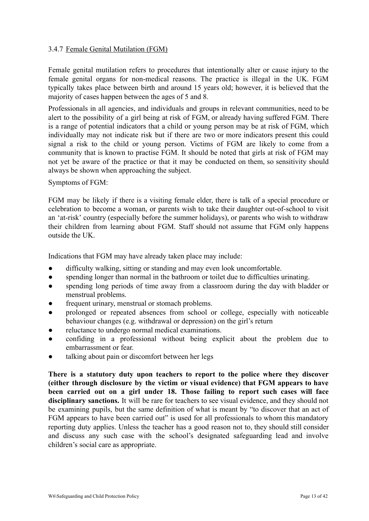# <span id="page-12-0"></span>3.4.7 Female Genital Mutilation (FGM)

Female genital mutilation refers to procedures that intentionally alter or cause injury to the female genital organs for non-medical reasons. The practice is illegal in the UK. FGM typically takes place between birth and around 15 years old; however, it is believed that the majority of cases happen between the ages of 5 and 8.

Professionals in all agencies, and individuals and groups in relevant communities, need to be alert to the possibility of a girl being at risk of FGM, or already having suffered FGM. There is a range of potential indicators that a child or young person may be at risk of FGM, which individually may not indicate risk but if there are two or more indicators present this could signal a risk to the child or young person. Victims of FGM are likely to come from a community that is known to practise FGM. It should be noted that girls at risk of FGM may not yet be aware of the practice or that it may be conducted on them, so sensitivity should always be shown when approaching the subject.

Symptoms of FGM:

FGM may be likely if there is a visiting female elder, there is talk of a special procedure or celebration to become a woman, or parents wish to take their daughter out-of-school to visit an 'at-risk' country (especially before the summer holidays), or parents who wish to withdraw their children from learning about FGM. Staff should not assume that FGM only happens outside the UK.

Indications that FGM may have already taken place may include:

- difficulty walking, sitting or standing and may even look uncomfortable.
- spending longer than normal in the bathroom or toilet due to difficulties urinating.
- spending long periods of time away from a classroom during the day with bladder or menstrual problems.
- frequent urinary, menstrual or stomach problems.
- prolonged or repeated absences from school or college, especially with noticeable behaviour changes (e.g. withdrawal or depression) on the girl's return
- reluctance to undergo normal medical examinations.
- confiding in a professional without being explicit about the problem due to embarrassment or fear.
- talking about pain or discomfort between her legs

**There is a statutory duty upon teachers to report to the police where they discover (either through disclosure by the victim or visual evidence) that FGM appears to have been carried out on a girl under 18. Those failing to report such cases will face disciplinary sanctions.** It will be rare for teachers to see visual evidence, and they should not be examining pupils, but the same definition of what is meant by "to discover that an act of FGM appears to have been carried out" is used for all professionals to whom this mandatory reporting duty applies. Unless the teacher has a good reason not to, they should still consider and discuss any such case with the school's designated safeguarding lead and involve children's social care as appropriate.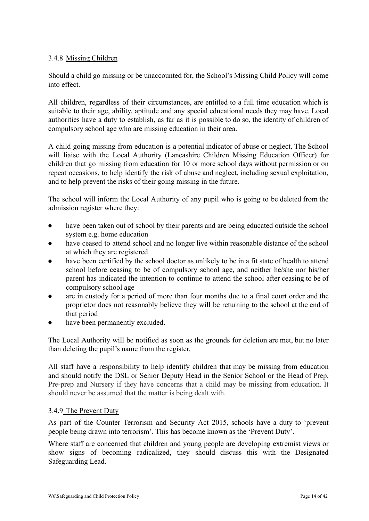# <span id="page-13-0"></span>3.4.8 Missing Children

Should a child go missing or be unaccounted for, the School's Missing Child Policy will come into effect.

All children, regardless of their circumstances, are entitled to a full time education which is suitable to their age, ability, aptitude and any special educational needs they may have. Local authorities have a duty to establish, as far as it is possible to do so, the identity of children of compulsory school age who are missing education in their area.

A child going missing from education is a potential indicator of abuse or neglect. The School will liaise with the Local Authority (Lancashire Children Missing Education Officer) for children that go missing from education for 10 or more school days without permission or on repeat occasions, to help identify the risk of abuse and neglect, including sexual exploitation, and to help prevent the risks of their going missing in the future.

The school will inform the Local Authority of any pupil who is going to be deleted from the admission register where they:

- have been taken out of school by their parents and are being educated outside the school system e.g. home education
- have ceased to attend school and no longer live within reasonable distance of the school at which they are registered
- have been certified by the school doctor as unlikely to be in a fit state of health to attend school before ceasing to be of compulsory school age, and neither he/she nor his/her parent has indicated the intention to continue to attend the school after ceasing to be of compulsory school age
- are in custody for a period of more than four months due to a final court order and the proprietor does not reasonably believe they will be returning to the school at the end of that period
- have been permanently excluded.

The Local Authority will be notified as soon as the grounds for deletion are met, but no later than deleting the pupil's name from the register.

All staff have a responsibility to help identify children that may be missing from education and should notify the DSL or Senior Deputy Head in the Senior School or the Head of Prep, Pre-prep and Nursery if they have concerns that a child may be missing from education. It should never be assumed that the matter is being dealt with.

# <span id="page-13-1"></span>3.4.9 The Prevent Duty

As part of the Counter Terrorism and Security Act 2015, schools have a duty to 'prevent people being drawn into terrorism'. This has become known as the 'Prevent Duty'.

Where staff are concerned that children and young people are developing extremist views or show signs of becoming radicalized, they should discuss this with the Designated Safeguarding Lead.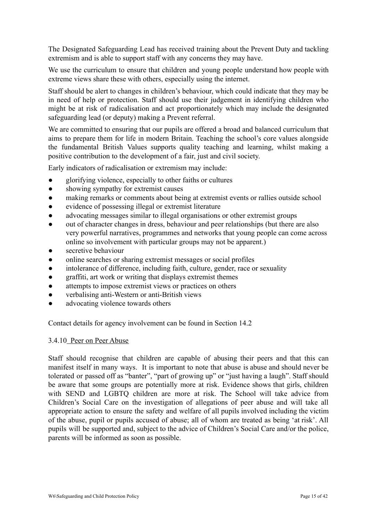The Designated Safeguarding Lead has received training about the Prevent Duty and tackling extremism and is able to support staff with any concerns they may have.

We use the curriculum to ensure that children and young people understand how people with extreme views share these with others, especially using the internet.

Staff should be alert to changes in children's behaviour, which could indicate that they may be in need of help or protection. Staff should use their judgement in identifying children who might be at risk of radicalisation and act proportionately which may include the designated safeguarding lead (or deputy) making a Prevent referral.

We are committed to ensuring that our pupils are offered a broad and balanced curriculum that aims to prepare them for life in modern Britain. Teaching the school's core values alongside the fundamental British Values supports quality teaching and learning, whilst making a positive contribution to the development of a fair, just and civil society.

Early indicators of radicalisation or extremism may include:

- glorifying violence, especially to other faiths or cultures
- showing sympathy for extremist causes
- making remarks or comments about being at extremist events or rallies outside school
- evidence of possessing illegal or extremist literature
- advocating messages similar to illegal organisations or other extremist groups
- out of character changes in dress, behaviour and peer relationships (but there are also very powerful narratives, programmes and networks that young people can come across online so involvement with particular groups may not be apparent.)
- secretive behaviour
- online searches or sharing extremist messages or social profiles
- intolerance of difference, including faith, culture, gender, race or sexuality
- graffiti, art work or writing that displays extremist themes
- attempts to impose extremist views or practices on others
- verbalising anti-Western or anti-British views
- advocating violence towards others

Contact details for agency involvement can be found in Section 14.2

#### <span id="page-14-0"></span>3.4.10 Peer on Peer Abuse

Staff should recognise that children are capable of abusing their peers and that this can manifest itself in many ways. It is important to note that abuse is abuse and should never be tolerated or passed off as "banter", "part of growing up" or "just having a laugh". Staff should be aware that some groups are potentially more at risk. Evidence shows that girls, children with SEND and LGBTQ children are more at risk. The School will take advice from Children's Social Care on the investigation of allegations of peer abuse and will take all appropriate action to ensure the safety and welfare of all pupils involved including the victim of the abuse, pupil or pupils accused of abuse; all of whom are treated as being 'at risk'. All pupils will be supported and, subject to the advice of Children's Social Care and/or the police, parents will be informed as soon as possible.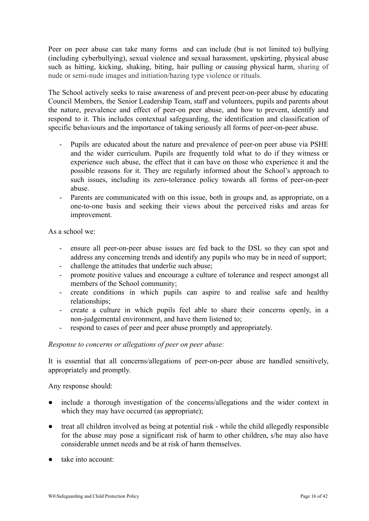Peer on peer abuse can take many forms and can include (but is not limited to) bullying (including cyberbullying), sexual violence and sexual harassment, upskirting, physical abuse such as hitting, kicking, shaking, biting, hair pulling or causing physical harm, sharing of nude or semi-nude images and initiation/hazing type violence or rituals.

The School actively seeks to raise awareness of and prevent peer-on-peer abuse by educating Council Members, the Senior Leadership Team, staff and volunteers, pupils and parents about the nature, prevalence and effect of peer-on peer abuse, and how to prevent, identify and respond to it. This includes contextual safeguarding, the identification and classification of specific behaviours and the importance of taking seriously all forms of peer-on-peer abuse.

- Pupils are educated about the nature and prevalence of peer-on peer abuse via PSHE and the wider curriculum. Pupils are frequently told what to do if they witness or experience such abuse, the effect that it can have on those who experience it and the possible reasons for it. They are regularly informed about the School's approach to such issues, including its zero-tolerance policy towards all forms of peer-on-peer abuse.
- Parents are communicated with on this issue, both in groups and, as appropriate, on a one-to-one basis and seeking their views about the perceived risks and areas for improvement.

As a school we:

- ensure all peer-on-peer abuse issues are fed back to the DSL so they can spot and address any concerning trends and identify any pupils who may be in need of support;
- challenge the attitudes that underlie such abuse;
- promote positive values and encourage a culture of tolerance and respect amongst all members of the School community;
- create conditions in which pupils can aspire to and realise safe and healthy relationships;
- create a culture in which pupils feel able to share their concerns openly, in a non-judgemental environment, and have them listened to;
- respond to cases of peer and peer abuse promptly and appropriately.

#### *Response to concerns or allegations of peer on peer abuse:*

It is essential that all concerns/allegations of peer-on-peer abuse are handled sensitively, appropriately and promptly.

Any response should:

- include a thorough investigation of the concerns/allegations and the wider context in which they may have occurred (as appropriate);
- treat all children involved as being at potential risk while the child allegedly responsible for the abuse may pose a significant risk of harm to other children, s/he may also have considerable unmet needs and be at risk of harm themselves.
- take into account: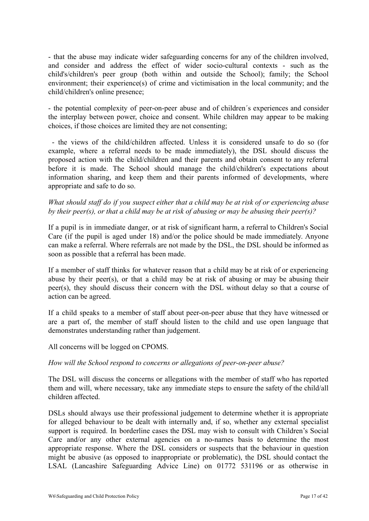- that the abuse may indicate wider safeguarding concerns for any of the children involved, and consider and address the effect of wider socio-cultural contexts - such as the child's/children's peer group (both within and outside the School); family; the School environment; their experience(s) of crime and victimisation in the local community; and the child/children's online presence;

- the potential complexity of peer-on-peer abuse and of children´s experiences and consider the interplay between power, choice and consent. While children may appear to be making choices, if those choices are limited they are not consenting;

- the views of the child/children affected. Unless it is considered unsafe to do so (for example, where a referral needs to be made immediately), the DSL should discuss the proposed action with the child/children and their parents and obtain consent to any referral before it is made. The School should manage the child/children's expectations about information sharing, and keep them and their parents informed of developments, where appropriate and safe to do so.

# What should staff do if you suspect either that a child may be at risk of or experiencing abuse *by their peer(s), or that a child may be at risk of abusing or may be abusing their peer(s)?*

If a pupil is in immediate danger, or at risk of significant harm, a referral to Children's Social Care (if the pupil is aged under 18) and/or the police should be made immediately. Anyone can make a referral. Where referrals are not made by the DSL, the DSL should be informed as soon as possible that a referral has been made.

If a member of staff thinks for whatever reason that a child may be at risk of or experiencing abuse by their peer(s), or that a child may be at risk of abusing or may be abusing their peer(s), they should discuss their concern with the DSL without delay so that a course of action can be agreed.

If a child speaks to a member of staff about peer-on-peer abuse that they have witnessed or are a part of, the member of staff should listen to the child and use open language that demonstrates understanding rather than judgement.

All concerns will be logged on CPOMS.

*How will the School respond to concerns or allegations of peer-on-peer abuse?*

The DSL will discuss the concerns or allegations with the member of staff who has reported them and will, where necessary, take any immediate steps to ensure the safety of the child/all children affected.

DSLs should always use their professional judgement to determine whether it is appropriate for alleged behaviour to be dealt with internally and, if so, whether any external specialist support is required. In borderline cases the DSL may wish to consult with Children's Social Care and/or any other external agencies on a no-names basis to determine the most appropriate response. Where the DSL considers or suspects that the behaviour in question might be abusive (as opposed to inappropriate or problematic), the DSL should contact the LSAL (Lancashire Safeguarding Advice Line) on 01772 531196 or as otherwise in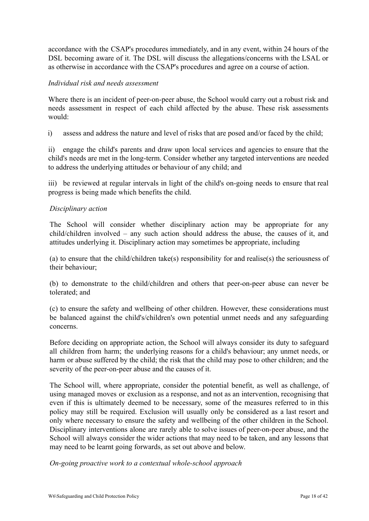accordance with the CSAP's procedures immediately, and in any event, within 24 hours of the DSL becoming aware of it. The DSL will discuss the allegations/concerns with the LSAL or as otherwise in accordance with the CSAP's procedures and agree on a course of action.

#### *Individual risk and needs assessment*

Where there is an incident of peer-on-peer abuse, the School would carry out a robust risk and needs assessment in respect of each child affected by the abuse. These risk assessments would:

i) assess and address the nature and level of risks that are posed and/or faced by the child;

ii) engage the child's parents and draw upon local services and agencies to ensure that the child's needs are met in the long-term. Consider whether any targeted interventions are needed to address the underlying attitudes or behaviour of any child; and

iii) be reviewed at regular intervals in light of the child's on-going needs to ensure that real progress is being made which benefits the child.

#### *Disciplinary action*

The School will consider whether disciplinary action may be appropriate for any child/children involved – any such action should address the abuse, the causes of it, and attitudes underlying it. Disciplinary action may sometimes be appropriate, including

(a) to ensure that the child/children take(s) responsibility for and realise(s) the seriousness of their behaviour;

(b) to demonstrate to the child/children and others that peer-on-peer abuse can never be tolerated; and

(c) to ensure the safety and wellbeing of other children. However, these considerations must be balanced against the child's/children's own potential unmet needs and any safeguarding concerns.

Before deciding on appropriate action, the School will always consider its duty to safeguard all children from harm; the underlying reasons for a child's behaviour; any unmet needs, or harm or abuse suffered by the child; the risk that the child may pose to other children; and the severity of the peer-on-peer abuse and the causes of it.

The School will, where appropriate, consider the potential benefit, as well as challenge, of using managed moves or exclusion as a response, and not as an intervention, recognising that even if this is ultimately deemed to be necessary, some of the measures referred to in this policy may still be required. Exclusion will usually only be considered as a last resort and only where necessary to ensure the safety and wellbeing of the other children in the School. Disciplinary interventions alone are rarely able to solve issues of peer-on-peer abuse, and the School will always consider the wider actions that may need to be taken, and any lessons that may need to be learnt going forwards, as set out above and below.

*On-going proactive work to a contextual whole-school approach*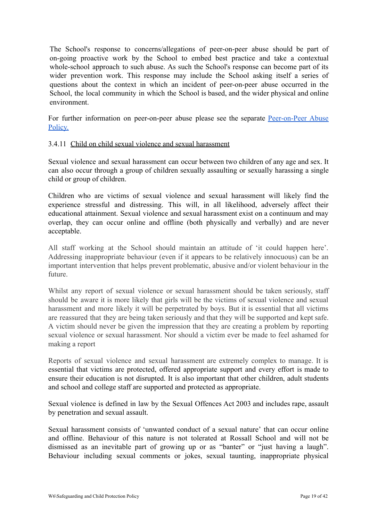The School's response to concerns/allegations of peer-on-peer abuse should be part of on-going proactive work by the School to embed best practice and take a contextual whole-school approach to such abuse. As such the School's response can become part of its wider prevention work. This response may include the School asking itself a series of questions about the context in which an incident of peer-on-peer abuse occurred in the School, the local community in which the School is based, and the wider physical and online environment.

For further information on peer-on-peer abuse please see the separate [Peer-on-Peer](https://www.rossall.org.uk/wp-content/uploads/2021/06/Peer-on-Peer-Abuse-Policy-pending-governor-approval.pdf) Abuse [Policy.](https://www.rossall.org.uk/wp-content/uploads/2021/06/Peer-on-Peer-Abuse-Policy-pending-governor-approval.pdf)

#### <span id="page-18-0"></span>3.4.11 Child on child sexual violence and sexual harassment

Sexual violence and sexual harassment can occur between two children of any age and sex. It can also occur through a group of children sexually assaulting or sexually harassing a single child or group of children.

Children who are victims of sexual violence and sexual harassment will likely find the experience stressful and distressing. This will, in all likelihood, adversely affect their educational attainment. Sexual violence and sexual harassment exist on a continuum and may overlap, they can occur online and offline (both physically and verbally) and are never acceptable.

All staff working at the School should maintain an attitude of 'it could happen here'. Addressing inappropriate behaviour (even if it appears to be relatively innocuous) can be an important intervention that helps prevent problematic, abusive and/or violent behaviour in the future.

Whilst any report of sexual violence or sexual harassment should be taken seriously, staff should be aware it is more likely that girls will be the victims of sexual violence and sexual harassment and more likely it will be perpetrated by boys. But it is essential that all victims are reassured that they are being taken seriously and that they will be supported and kept safe. A victim should never be given the impression that they are creating a problem by reporting sexual violence or sexual harassment. Nor should a victim ever be made to feel ashamed for making a report

Reports of sexual violence and sexual harassment are extremely complex to manage. It is essential that victims are protected, offered appropriate support and every effort is made to ensure their education is not disrupted. It is also important that other children, adult students and school and college staff are supported and protected as appropriate.

Sexual violence is defined in law by the Sexual Offences Act 2003 and includes rape, assault by penetration and sexual assault.

Sexual harassment consists of 'unwanted conduct of a sexual nature' that can occur online and offline. Behaviour of this nature is not tolerated at Rossall School and will not be dismissed as an inevitable part of growing up or as "banter" or "just having a laugh". Behaviour including sexual comments or jokes, sexual taunting, inappropriate physical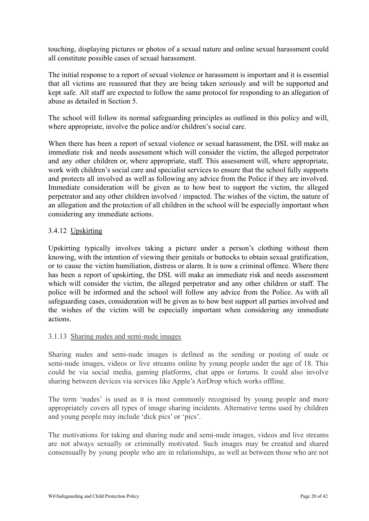touching, displaying pictures or photos of a sexual nature and online sexual harassment could all constitute possible cases of sexual harassment.

The initial response to a report of sexual violence or harassment is important and it is essential that all victims are reassured that they are being taken seriously and will be supported and kept safe. All staff are expected to follow the same protocol for responding to an allegation of abuse as detailed in Section 5.

The school will follow its normal safeguarding principles as outlined in this policy and will, where appropriate, involve the police and/or children's social care.

When there has been a report of sexual violence or sexual harassment, the DSL will make an immediate risk and needs assessment which will consider the victim, the alleged perpetrator and any other children or, where appropriate, staff. This assessment will, where appropriate, work with children's social care and specialist services to ensure that the school fully supports and protects all involved as well as following any advice from the Police if they are involved. Immediate consideration will be given as to how best to support the victim, the alleged perpetrator and any other children involved / impacted. The wishes of the victim, the nature of an allegation and the protection of all children in the school will be especially important when considering any immediate actions.

# <span id="page-19-0"></span>3.4.12 Upskirting

Upskirting typically involves taking a picture under a person's clothing without them knowing, with the intention of viewing their genitals or buttocks to obtain sexual gratification, or to cause the victim humiliation, distress or alarm. It is now a criminal offence. Where there has been a report of upskirting, the DSL will make an immediate risk and needs assessment which will consider the victim, the alleged perpetrator and any other children or staff. The police will be informed and the school will follow any advice from the Police. As with all safeguarding cases, consideration will be given as to how best support all parties involved and the wishes of the victim will be especially important when considering any immediate actions.

#### <span id="page-19-1"></span>3.1.13 Sharing nudes and semi-nude images

Sharing nudes and semi-nude images is defined as the sending or posting of nude or semi-nude images, videos or live streams online by young people under the age of 18. This could be via social media, gaming platforms, chat apps or forums. It could also involve sharing between devices via services like Apple's AirDrop which works offline.

The term 'nudes' is used as it is most commonly recognised by young people and more appropriately covers all types of image sharing incidents. Alternative terms used by children and young people may include 'dick pics' or 'pics'.

The motivations for taking and sharing nude and semi-nude images, videos and live streams are not always sexually or criminally motivated. Such images may be created and shared consensually by young people who are in relationships, as well as between those who are not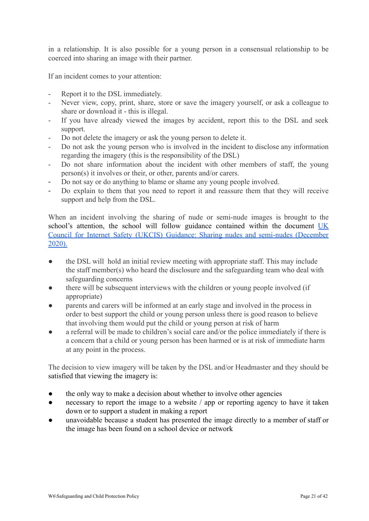in a relationship. It is also possible for a young person in a consensual relationship to be coerced into sharing an image with their partner.

If an incident comes to your attention:

- Report it to the DSL immediately.
- Never view, copy, print, share, store or save the imagery yourself, or ask a colleague to share or download it - this is illegal.
- If you have already viewed the images by accident, report this to the DSL and seek support.
- Do not delete the imagery or ask the young person to delete it.
- Do not ask the young person who is involved in the incident to disclose any information regarding the imagery (this is the responsibility of the DSL)
- Do not share information about the incident with other members of staff, the young person(s) it involves or their, or other, parents and/or carers.
- Do not say or do anything to blame or shame any young people involved.
- Do explain to them that you need to report it and reassure them that they will receive support and help from the DSL.

When an incident involving the sharing of nude or semi-nude images is brought to the school's attention, the school will follow guidance contained within the document  $U\overline{K}$ Council for Internet Safety (UKCIS) Guidance: Sharing nudes and [semi-nudes](https://www.gov.uk/government/publications/sharing-nudes-and-semi-nudes-advice-for-education-settings-working-with-children-and-young-people/sharing-nudes-and-semi-nudes-advice-for-education-settings-working-with-children-and-young-people) (December [2020\).](https://www.gov.uk/government/publications/sharing-nudes-and-semi-nudes-advice-for-education-settings-working-with-children-and-young-people/sharing-nudes-and-semi-nudes-advice-for-education-settings-working-with-children-and-young-people)

- the DSL will hold an initial review meeting with appropriate staff. This may include the staff member(s) who heard the disclosure and the safeguarding team who deal with safeguarding concerns
- there will be subsequent interviews with the children or young people involved (if appropriate)
- parents and carers will be informed at an early stage and involved in the process in order to best support the child or young person unless there is good reason to believe that involving them would put the child or young person at risk of harm
- a referral will be made to children's social care and/or the police immediately if there is a concern that a child or young person has been harmed or is at risk of immediate harm at any point in the process.

The decision to view imagery will be taken by the DSL and/or Headmaster and they should be satisfied that viewing the imagery is:

- the only way to make a decision about whether to involve other agencies
- necessary to report the image to a website / app or reporting agency to have it taken down or to support a student in making a report
- unavoidable because a student has presented the image directly to a member of staff or the image has been found on a school device or network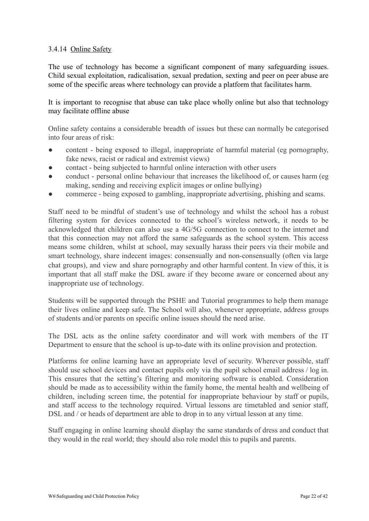# <span id="page-21-0"></span>3.4.14 Online Safety

The use of technology has become a significant component of many safeguarding issues. Child sexual exploitation, radicalisation, sexual predation, sexting and peer on peer abuse are some of the specific areas where technology can provide a platform that facilitates harm.

It is important to recognise that abuse can take place wholly online but also that technology may facilitate offline abuse

Online safety contains a considerable breadth of issues but these can normally be categorised into four areas of risk:

- content being exposed to illegal, inappropriate of harmful material (eg pornography, fake news, racist or radical and extremist views)
- contact being subjected to harmful online interaction with other users
- conduct personal online behaviour that increases the likelihood of, or causes harm (eg) making, sending and receiving explicit images or online bullying)
- commerce being exposed to gambling, inappropriate advertising, phishing and scams.

Staff need to be mindful of student's use of technology and whilst the school has a robust filtering system for devices connected to the school's wireless network, it needs to be acknowledged that children can also use a 4G/5G connection to connect to the internet and that this connection may not afford the same safeguards as the school system. This access means some children, whilst at school, may sexually harass their peers via their mobile and smart technology, share indecent images: consensually and non-consensually (often via large chat groups), and view and share pornography and other harmful content. In view of this, it is important that all staff make the DSL aware if they become aware or concerned about any inappropriate use of technology.

Students will be supported through the PSHE and Tutorial programmes to help them manage their lives online and keep safe. The School will also, whenever appropriate, address groups of students and/or parents on specific online issues should the need arise.

The DSL acts as the online safety coordinator and will work with members of the IT Department to ensure that the school is up-to-date with its online provision and protection.

Platforms for online learning have an appropriate level of security. Wherever possible, staff should use school devices and contact pupils only via the pupil school email address / log in. This ensures that the setting's filtering and monitoring software is enabled. Consideration should be made as to accessibility within the family home, the mental health and wellbeing of children, including screen time, the potential for inappropriate behaviour by staff or pupils, and staff access to the technology required. Virtual lessons are timetabled and senior staff, DSL and / or heads of department are able to drop in to any virtual lesson at any time.

Staff engaging in online learning should display the same standards of dress and conduct that they would in the real world; they should also role model this to pupils and parents.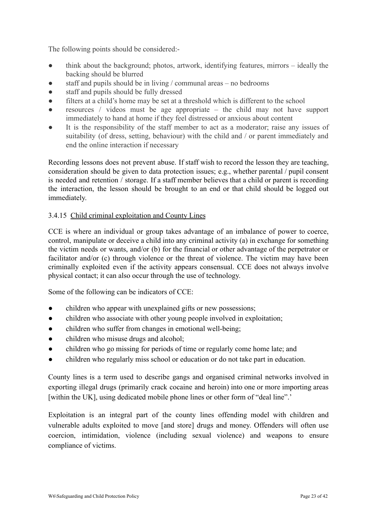The following points should be considered:-

- think about the background; photos, artwork, identifying features, mirrors ideally the backing should be blurred
- $\bullet$  staff and pupils should be in living / communal areas no bedrooms
- staff and pupils should be fully dressed
- filters at a child's home may be set at a threshold which is different to the school
- resources / videos must be age appropriate the child may not have support immediately to hand at home if they feel distressed or anxious about content
- It is the responsibility of the staff member to act as a moderator; raise any issues of suitability (of dress, setting, behaviour) with the child and / or parent immediately and end the online interaction if necessary

Recording lessons does not prevent abuse. If staff wish to record the lesson they are teaching, consideration should be given to data protection issues; e.g., whether parental / pupil consent is needed and retention / storage. If a staff member believes that a child or parent is recording the interaction, the lesson should be brought to an end or that child should be logged out immediately.

# <span id="page-22-0"></span>3.4.15 Child criminal exploitation and County Lines

CCE is where an individual or group takes advantage of an imbalance of power to coerce, control, manipulate or deceive a child into any criminal activity (a) in exchange for something the victim needs or wants, and/or (b) for the financial or other advantage of the perpetrator or facilitator and/or (c) through violence or the threat of violence. The victim may have been criminally exploited even if the activity appears consensual. CCE does not always involve physical contact; it can also occur through the use of technology.

Some of the following can be indicators of CCE:

- children who appear with unexplained gifts or new possessions;
- children who associate with other young people involved in exploitation;
- children who suffer from changes in emotional well-being;
- children who misuse drugs and alcohol;
- children who go missing for periods of time or regularly come home late; and
- children who regularly miss school or education or do not take part in education.

County lines is a term used to describe gangs and organised criminal networks involved in exporting illegal drugs (primarily crack cocaine and heroin) into one or more importing areas [within the UK], using dedicated mobile phone lines or other form of "deal line".'

Exploitation is an integral part of the county lines offending model with children and vulnerable adults exploited to move [and store] drugs and money. Offenders will often use coercion, intimidation, violence (including sexual violence) and weapons to ensure compliance of victims.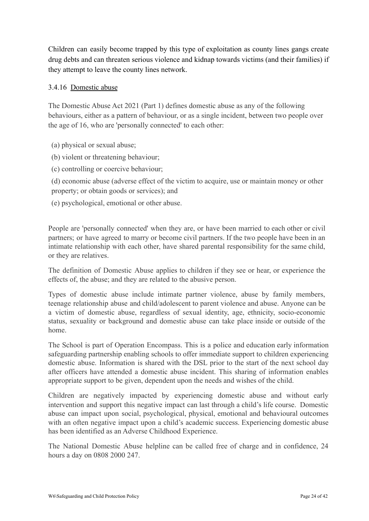Children can easily become trapped by this type of exploitation as county lines gangs create drug debts and can threaten serious violence and kidnap towards victims (and their families) if they attempt to leave the county lines network.

# <span id="page-23-0"></span>3.4.16 Domestic abuse

The Domestic Abuse Act 2021 (Part 1) defines domestic abuse as any of the following behaviours, either as a pattern of behaviour, or as a single incident, between two people over the age of 16, who are 'personally connected' to each other:

(a) physical or sexual abuse;

(b) violent or threatening behaviour;

(c) controlling or coercive behaviour;

(d) economic abuse (adverse effect of the victim to acquire, use or maintain money or other property; or obtain goods or services); and

(e) psychological, emotional or other abuse.

People are 'personally connected' when they are, or have been married to each other or civil partners; or have agreed to marry or become civil partners. If the two people have been in an intimate relationship with each other, have shared parental responsibility for the same child, or they are relatives.

The definition of Domestic Abuse applies to children if they see or hear, or experience the effects of, the abuse; and they are related to the abusive person.

Types of domestic abuse include intimate partner violence, abuse by family members, teenage relationship abuse and child/adolescent to parent violence and abuse. Anyone can be a victim of domestic abuse, regardless of sexual identity, age, ethnicity, socio-economic status, sexuality or background and domestic abuse can take place inside or outside of the home.

The School is part of Operation Encompass. This is a police and education early information safeguarding partnership enabling schools to offer immediate support to children experiencing domestic abuse. Information is shared with the DSL prior to the start of the next school day after officers have attended a domestic abuse incident. This sharing of information enables appropriate support to be given, dependent upon the needs and wishes of the child.

Children are negatively impacted by experiencing domestic abuse and without early intervention and support this negative impact can last through a child's life course. Domestic abuse can impact upon social, psychological, physical, emotional and behavioural outcomes with an often negative impact upon a child's academic success. Experiencing domestic abuse has been identified as an Adverse Childhood Experience.

The National Domestic Abuse helpline can be called free of charge and in confidence, 24 hours a day on 0808 2000 247.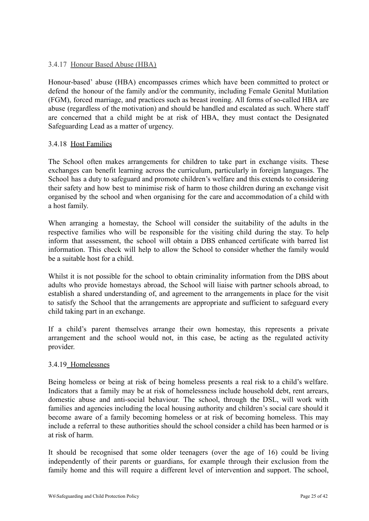## <span id="page-24-0"></span>3.4.17 Honour Based Abuse (HBA)

Honour-based' abuse (HBA) encompasses crimes which have been committed to protect or defend the honour of the family and/or the community, including Female Genital Mutilation (FGM), forced marriage, and practices such as breast ironing. All forms of so-called HBA are abuse (regardless of the motivation) and should be handled and escalated as such. Where staff are concerned that a child might be at risk of HBA, they must contact the Designated Safeguarding Lead as a matter of urgency.

#### <span id="page-24-1"></span>3.4.18 Host Families

The School often makes arrangements for children to take part in exchange visits. These exchanges can benefit learning across the curriculum, particularly in foreign languages. The School has a duty to safeguard and promote children's welfare and this extends to considering their safety and how best to minimise risk of harm to those children during an exchange visit organised by the school and when organising for the care and accommodation of a child with a host family.

When arranging a homestay, the School will consider the suitability of the adults in the respective families who will be responsible for the visiting child during the stay. To help inform that assessment, the school will obtain a DBS enhanced certificate with barred list information. This check will help to allow the School to consider whether the family would be a suitable host for a child.

Whilst it is not possible for the school to obtain criminality information from the DBS about adults who provide homestays abroad, the School will liaise with partner schools abroad, to establish a shared understanding of, and agreement to the arrangements in place for the visit to satisfy the School that the arrangements are appropriate and sufficient to safeguard every child taking part in an exchange.

If a child's parent themselves arrange their own homestay, this represents a private arrangement and the school would not, in this case, be acting as the regulated activity provider.

# <span id="page-24-2"></span>3.4.19 Homelessnes

Being homeless or being at risk of being homeless presents a real risk to a child's welfare. Indicators that a family may be at risk of homelessness include household debt, rent arrears, domestic abuse and anti-social behaviour. The school, through the DSL, will work with families and agencies including the local housing authority and children's social care should it become aware of a family becoming homeless or at risk of becoming homeless. This may include a referral to these authorities should the school consider a child has been harmed or is at risk of harm.

It should be recognised that some older teenagers (over the age of 16) could be living independently of their parents or guardians, for example through their exclusion from the family home and this will require a different level of intervention and support. The school,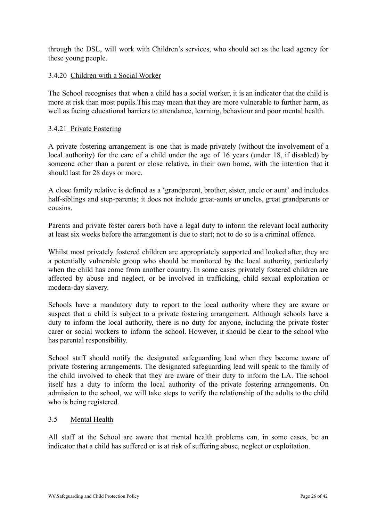through the DSL, will work with Children's services, who should act as the lead agency for these young people.

# <span id="page-25-0"></span>3.4.20 Children with a Social Worker

The School recognises that when a child has a social worker, it is an indicator that the child is more at risk than most pupils.This may mean that they are more vulnerable to further harm, as well as facing educational barriers to attendance, learning, behaviour and poor mental health.

#### <span id="page-25-1"></span>3.4.21 Private Fostering

A private fostering arrangement is one that is made privately (without the involvement of a local authority) for the care of a child under the age of 16 years (under 18, if disabled) by someone other than a parent or close relative, in their own home, with the intention that it should last for 28 days or more.

A close family relative is defined as a 'grandparent, brother, sister, uncle or aunt' and includes half-siblings and step-parents; it does not include great-aunts or uncles, great grandparents or cousins.

Parents and private foster carers both have a legal duty to inform the relevant local authority at least six weeks before the arrangement is due to start; not to do so is a criminal offence.

Whilst most privately fostered children are appropriately supported and looked after, they are a potentially vulnerable group who should be monitored by the local authority, particularly when the child has come from another country. In some cases privately fostered children are affected by abuse and neglect, or be involved in trafficking, child sexual exploitation or modern-day slavery.

Schools have a mandatory duty to report to the local authority where they are aware or suspect that a child is subject to a private fostering arrangement. Although schools have a duty to inform the local authority, there is no duty for anyone, including the private foster carer or social workers to inform the school. However, it should be clear to the school who has parental responsibility.

School staff should notify the designated safeguarding lead when they become aware of private fostering arrangements. The designated safeguarding lead will speak to the family of the child involved to check that they are aware of their duty to inform the LA. The school itself has a duty to inform the local authority of the private fostering arrangements. On admission to the school, we will take steps to verify the relationship of the adults to the child who is being registered.

#### <span id="page-25-2"></span>3.5 Mental Health

All staff at the School are aware that mental health problems can, in some cases, be an indicator that a child has suffered or is at risk of suffering abuse, neglect or exploitation.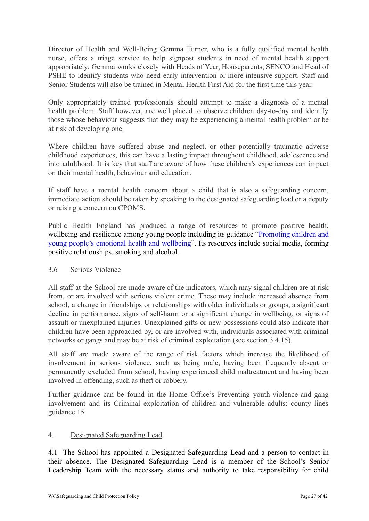Director of Health and Well-Being Gemma Turner, who is a fully qualified mental health nurse, offers a triage service to help signpost students in need of mental health support appropriately. Gemma works closely with Heads of Year, Houseparents, SENCO and Head of PSHE to identify students who need early intervention or more intensive support. Staff and Senior Students will also be trained in Mental Health First Aid for the first time this year.

Only appropriately trained professionals should attempt to make a diagnosis of a mental health problem. Staff however, are well placed to observe children day-to-day and identify those whose behaviour suggests that they may be experiencing a mental health problem or be at risk of developing one.

Where children have suffered abuse and neglect, or other potentially traumatic adverse childhood experiences, this can have a lasting impact throughout childhood, adolescence and into adulthood. It is key that staff are aware of how these children's experiences can impact on their mental health, behaviour and education.

If staff have a mental health concern about a child that is also a safeguarding concern, immediate action should be taken by speaking to the designated safeguarding lead or a deputy or raising a concern on CPOMS.

Public Health England has produced a range of resources to promote positive health, wellbeing and resilience among young people including its guidance "Promoting children and young people's emotional health and wellbeing". Its resources include social media, forming positive relationships, smoking and alcohol.

# <span id="page-26-0"></span>3.6 Serious Violence

All staff at the School are made aware of the indicators, which may signal children are at risk from, or are involved with serious violent crime. These may include increased absence from school, a change in friendships or relationships with older individuals or groups, a significant decline in performance, signs of self-harm or a significant change in wellbeing, or signs of assault or unexplained injuries. Unexplained gifts or new possessions could also indicate that children have been approached by, or are involved with, individuals associated with criminal networks or gangs and may be at risk of criminal exploitation (see section 3.4.15).

All staff are made aware of the range of risk factors which increase the likelihood of involvement in serious violence, such as being male, having been frequently absent or permanently excluded from school, having experienced child maltreatment and having been involved in offending, such as theft or robbery.

Further guidance can be found in the Home Office's Preventing youth violence and gang involvement and its Criminal exploitation of children and vulnerable adults: county lines guidance.15.

#### <span id="page-26-1"></span>4. Designated Safeguarding Lead

4.1 The School has appointed a Designated Safeguarding Lead and a person to contact in their absence. The Designated Safeguarding Lead is a member of the School's Senior Leadership Team with the necessary status and authority to take responsibility for child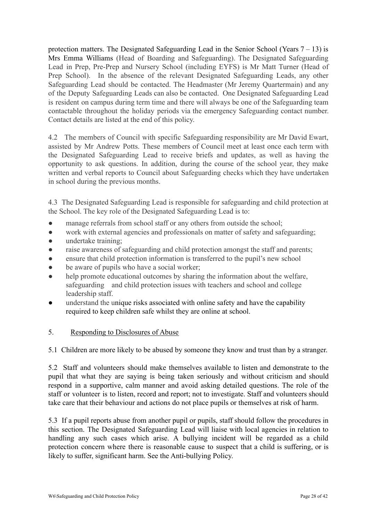protection matters. The Designated Safeguarding Lead in the Senior School (Years  $7 - 13$ ) is Mrs Emma Williams (Head of Boarding and Safeguarding). The Designated Safeguarding Lead in Prep, Pre-Prep and Nursery School (including EYFS) is Mr Matt Turner (Head of Prep School). In the absence of the relevant Designated Safeguarding Leads, any other Safeguarding Lead should be contacted. The Headmaster (Mr Jeremy Quartermain) and any of the Deputy Safeguarding Leads can also be contacted. One Designated Safeguarding Lead is resident on campus during term time and there will always be one of the Safeguarding team contactable throughout the holiday periods via the emergency Safeguarding contact number. Contact details are listed at the end of this policy.

4.2 The members of Council with specific Safeguarding responsibility are Mr David Ewart, assisted by Mr Andrew Potts. These members of Council meet at least once each term with the Designated Safeguarding Lead to receive briefs and updates, as well as having the opportunity to ask questions. In addition, during the course of the school year, they make written and verbal reports to Council about Safeguarding checks which they have undertaken in school during the previous months.

4.3 The Designated Safeguarding Lead is responsible for safeguarding and child protection at the School. The key role of the Designated Safeguarding Lead is to:

- manage referrals from school staff or any others from outside the school;
- work with external agencies and professionals on matter of safety and safeguarding;
- undertake training:
- raise awareness of safeguarding and child protection amongst the staff and parents;
- ensure that child protection information is transferred to the pupil's new school
- be aware of pupils who have a social worker;
- help promote educational outcomes by sharing the information about the welfare, safeguarding and child protection issues with teachers and school and college leadership staff.
- understand the unique risks associated with online safety and have the capability required to keep children safe whilst they are online at school.

# <span id="page-27-0"></span>5. Responding to Disclosures of Abuse

5.1 Children are more likely to be abused by someone they know and trust than by a stranger.

5.2 Staff and volunteers should make themselves available to listen and demonstrate to the pupil that what they are saying is being taken seriously and without criticism and should respond in a supportive, calm manner and avoid asking detailed questions. The role of the staff or volunteer is to listen, record and report; not to investigate. Staff and volunteers should take care that their behaviour and actions do not place pupils or themselves at risk of harm.

5.3 If a pupil reports abuse from another pupil or pupils, staff should follow the procedures in this section. The Designated Safeguarding Lead will liaise with local agencies in relation to handling any such cases which arise. A bullying incident will be regarded as a child protection concern where there is reasonable cause to suspect that a child is suffering, or is likely to suffer, significant harm. See the Anti-bullying Policy.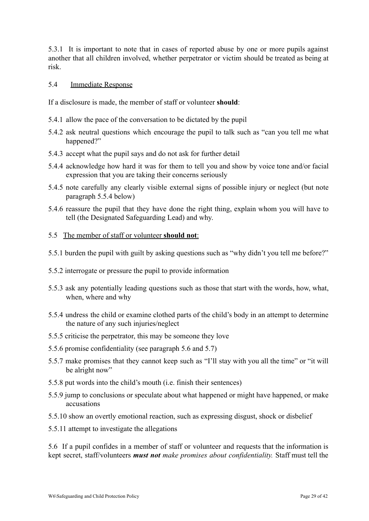5.3.1 It is important to note that in cases of reported abuse by one or more pupils against another that all children involved, whether perpetrator or victim should be treated as being at risk.

#### 5.4 Immediate Response

If a disclosure is made, the member of staff or volunteer **should**:

- 5.4.1 allow the pace of the conversation to be dictated by the pupil
- 5.4.2 ask neutral questions which encourage the pupil to talk such as "can you tell me what happened?"
- 5.4.3 accept what the pupil says and do not ask for further detail
- 5.4.4 acknowledge how hard it was for them to tell you and show by voice tone and/or facial expression that you are taking their concerns seriously
- 5.4.5 note carefully any clearly visible external signs of possible injury or neglect (but note paragraph 5.5.4 below)
- 5.4.6 reassure the pupil that they have done the right thing, explain whom you will have to tell (the Designated Safeguarding Lead) and why.
- 5.5 The member of staff or volunteer **should not**:
- 5.5.1 burden the pupil with guilt by asking questions such as "why didn't you tell me before?"
- 5.5.2 interrogate or pressure the pupil to provide information
- 5.5.3 ask any potentially leading questions such as those that start with the words, how, what, when, where and why
- 5.5.4 undress the child or examine clothed parts of the child's body in an attempt to determine the nature of any such injuries/neglect
- 5.5.5 criticise the perpetrator, this may be someone they love
- 5.5.6 promise confidentiality (see paragraph 5.6 and 5.7)
- 5.5.7 make promises that they cannot keep such as "I'll stay with you all the time" or "it will be alright now"
- 5.5.8 put words into the child's mouth (i.e. finish their sentences)
- 5.5.9 jump to conclusions or speculate about what happened or might have happened, or make accusations
- 5.5.10 show an overtly emotional reaction, such as expressing disgust, shock or disbelief
- 5.5.11 attempt to investigate the allegations

5.6 If a pupil confides in a member of staff or volunteer and requests that the information is kept secret, staff/volunteers *must not make promises about confidentiality.* Staff must tell the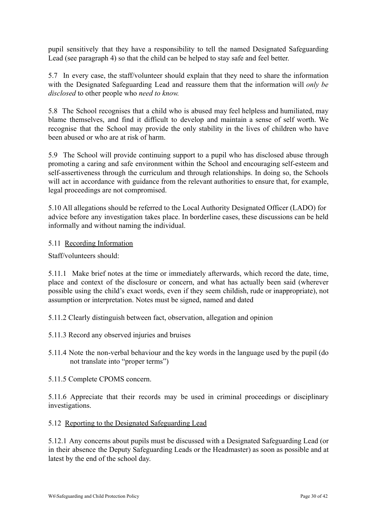pupil sensitively that they have a responsibility to tell the named Designated Safeguarding Lead (see paragraph 4) so that the child can be helped to stay safe and feel better.

5.7 In every case, the staff/volunteer should explain that they need to share the information with the Designated Safeguarding Lead and reassure them that the information will *only be disclosed* to other people who *need to know.*

5.8 The School recognises that a child who is abused may feel helpless and humiliated, may blame themselves, and find it difficult to develop and maintain a sense of self worth. We recognise that the School may provide the only stability in the lives of children who have been abused or who are at risk of harm.

5.9 The School will provide continuing support to a pupil who has disclosed abuse through promoting a caring and safe environment within the School and encouraging self-esteem and self-assertiveness through the curriculum and through relationships. In doing so, the Schools will act in accordance with guidance from the relevant authorities to ensure that, for example, legal proceedings are not compromised.

5.10 All allegations should be referred to the Local Authority Designated Officer (LADO) for advice before any investigation takes place. In borderline cases, these discussions can be held informally and without naming the individual.

#### 5.11 Recording Information

Staff/volunteers should:

5.11.1 Make brief notes at the time or immediately afterwards, which record the date, time, place and context of the disclosure or concern, and what has actually been said (wherever possible using the child's exact words, even if they seem childish, rude or inappropriate), not assumption or interpretation. Notes must be signed, named and dated

5.11.2 Clearly distinguish between fact, observation, allegation and opinion

- 5.11.3 Record any observed injuries and bruises
- 5.11.4 Note the non-verbal behaviour and the key words in the language used by the pupil (do not translate into "proper terms")

5.11.5 Complete CPOMS concern.

5.11.6 Appreciate that their records may be used in criminal proceedings or disciplinary investigations.

#### 5.12 Reporting to the Designated Safeguarding Lead

5.12.1 Any concerns about pupils must be discussed with a Designated Safeguarding Lead (or in their absence the Deputy Safeguarding Leads or the Headmaster) as soon as possible and at latest by the end of the school day.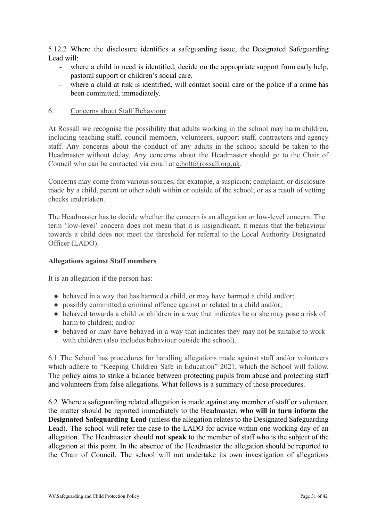5.12.2 Where the disclosure identifies a safeguarding issue, the Designated Safeguarding Lead will:

- where a child in need is identified, decide on the appropriate support from early help, pastoral support or children's social care.
- where a child at risk is identified, will contact social care or the police if a crime has been committed, immediately.

#### <span id="page-30-0"></span>6. Concerns about Staff Behaviour

At Rossall we recognise the possibility that adults working in the school may harm children, including teaching staff, council members, volunteers, support staff, contractors and agency staff. Any concerns about the conduct of any adults in the school should be taken to the Headmaster without delay. Any concerns about the Headmaster should go to the Chair of Council who can be contacted via email at [c.holt@rossall.org.uk.](mailto:c.holt@rossall.org.uk)

Concerns may come from various sources, for example, a suspicion; complaint; or disclosure made by a child, parent or other adult within or outside of the school; or as a result of vetting checks undertaken.

The Headmaster has to decide whether the concern is an allegation or low-level concern. The term 'low-level' concern does not mean that it is insignificant, it means that the behaviour towards a child does not meet the threshold for referral to the Local Authority Designated Officer (LADO).

#### **Allegations against Staff members**

It is an allegation if the person has:

- behaved in a way that has harmed a child, or may have harmed a child and/or;
- possibly committed a criminal offence against or related to a child and/or;
- behaved towards a child or children in a way that indicates he or she may pose a risk of harm to children; and/or
- behaved or may have behaved in a way that indicates they may not be suitable to work with children (also includes behaviour outside the school).

6.1 The School has procedures for handling allegations made against staff and/or volunteers which adhere to "Keeping Children Safe in Education" 2021, which the School will follow. The policy aims to strike a balance between protecting pupils from abuse and protecting staff and volunteers from false allegations. What follows is a summary of those procedures.

6.2 Where a safeguarding related allegation is made against any member of staff or volunteer, the matter should be reported immediately to the Headmaster, **who will in turn inform the Designated Safeguarding Lead** (unless the allegation relates to the Designated Safeguarding Lead). The school will refer the case to the LADO for advice within one working day of an allegation. The Headmaster should **not speak** to the member of staff who is the subject of the allegation at this point. In the absence of the Headmaster the allegation should be reported to the Chair of Council. The school will not undertake its own investigation of allegations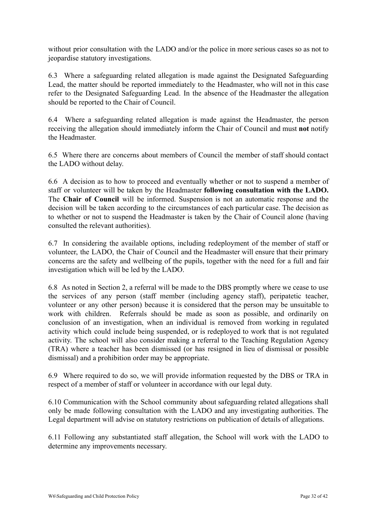without prior consultation with the LADO and/or the police in more serious cases so as not to jeopardise statutory investigations.

6.3 Where a safeguarding related allegation is made against the Designated Safeguarding Lead, the matter should be reported immediately to the Headmaster, who will not in this case refer to the Designated Safeguarding Lead. In the absence of the Headmaster the allegation should be reported to the Chair of Council.

6.4 Where a safeguarding related allegation is made against the Headmaster, the person receiving the allegation should immediately inform the Chair of Council and must **not** notify the Headmaster.

6.5 Where there are concerns about members of Council the member of staff should contact the LADO without delay.

6.6 A decision as to how to proceed and eventually whether or not to suspend a member of staff or volunteer will be taken by the Headmaster **following consultation with the LADO.** The **Chair of Council** will be informed. Suspension is not an automatic response and the decision will be taken according to the circumstances of each particular case. The decision as to whether or not to suspend the Headmaster is taken by the Chair of Council alone (having consulted the relevant authorities).

6.7 In considering the available options, including redeployment of the member of staff or volunteer, the LADO, the Chair of Council and the Headmaster will ensure that their primary concerns are the safety and wellbeing of the pupils, together with the need for a full and fair investigation which will be led by the LADO.

6.8 As noted in Section 2, a referral will be made to the DBS promptly where we cease to use the services of any person (staff member (including agency staff), peripatetic teacher, volunteer or any other person) because it is considered that the person may be unsuitable to work with children. Referrals should be made as soon as possible, and ordinarily on conclusion of an investigation, when an individual is removed from working in regulated activity which could include being suspended, or is redeployed to work that is not regulated activity. The school will also consider making a referral to the Teaching Regulation Agency (TRA) where a teacher has been dismissed (or has resigned in lieu of dismissal or possible dismissal) and a prohibition order may be appropriate.

6.9 Where required to do so, we will provide information requested by the DBS or TRA in respect of a member of staff or volunteer in accordance with our legal duty.

6.10 Communication with the School community about safeguarding related allegations shall only be made following consultation with the LADO and any investigating authorities. The Legal department will advise on statutory restrictions on publication of details of allegations.

6.11 Following any substantiated staff allegation, the School will work with the LADO to determine any improvements necessary.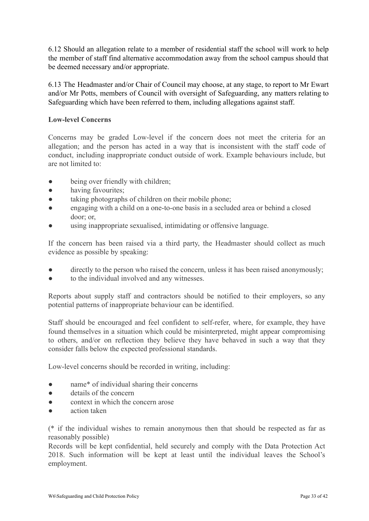6.12 Should an allegation relate to a member of residential staff the school will work to help the member of staff find alternative accommodation away from the school campus should that be deemed necessary and/or appropriate.

6.13 The Headmaster and/or Chair of Council may choose, at any stage, to report to Mr Ewart and/or Mr Potts, members of Council with oversight of Safeguarding, any matters relating to Safeguarding which have been referred to them, including allegations against staff.

## **Low-level Concerns**

Concerns may be graded Low-level if the concern does not meet the criteria for an allegation; and the person has acted in a way that is inconsistent with the staff code of conduct, including inappropriate conduct outside of work. Example behaviours include, but are not limited to:

- being over friendly with children;
- having favourites:
- taking photographs of children on their mobile phone;
- engaging with a child on a one-to-one basis in a secluded area or behind a closed door; or,
- using inappropriate sexualised, intimidating or offensive language.

If the concern has been raised via a third party, the Headmaster should collect as much evidence as possible by speaking:

- directly to the person who raised the concern, unless it has been raised anonymously;
- to the individual involved and any witnesses.

Reports about supply staff and contractors should be notified to their employers, so any potential patterns of inappropriate behaviour can be identified.

Staff should be encouraged and feel confident to self-refer, where, for example, they have found themselves in a situation which could be misinterpreted, might appear compromising to others, and/or on reflection they believe they have behaved in such a way that they consider falls below the expected professional standards.

Low-level concerns should be recorded in writing, including:

- name\* of individual sharing their concerns
- details of the concern
- context in which the concern arose
- action taken

(\* if the individual wishes to remain anonymous then that should be respected as far as reasonably possible)

Records will be kept confidential, held securely and comply with the Data Protection Act 2018. Such information will be kept at least until the individual leaves the School's employment.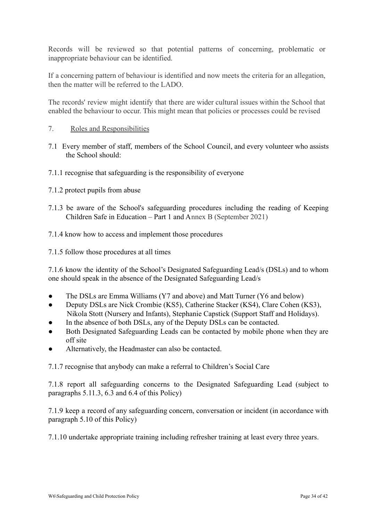Records will be reviewed so that potential patterns of concerning, problematic or inappropriate behaviour can be identified.

If a concerning pattern of behaviour is identified and now meets the criteria for an allegation, then the matter will be referred to the LADO.

The records' review might identify that there are wider cultural issues within the School that enabled the behaviour to occur. This might mean that policies or processes could be revised

- <span id="page-33-0"></span>7. Roles and Responsibilities
- 7.1 Every member of staff, members of the School Council, and every volunteer who assists the School should:
- 7.1.1 recognise that safeguarding is the responsibility of everyone
- 7.1.2 protect pupils from abuse
- 7.1.3 be aware of the School's safeguarding procedures including the reading of Keeping Children Safe in Education – Part 1 and Annex B (September 2021)
- 7.1.4 know how to access and implement those procedures
- 7.1.5 follow those procedures at all times

7.1.6 know the identity of the School's Designated Safeguarding Lead/s (DSLs) and to whom one should speak in the absence of the Designated Safeguarding Lead/s

- The DSLs are Emma Williams (Y7 and above) and Matt Turner (Y6 and below)
- Deputy DSLs are Nick Crombie (KS5), Catherine Stacker (KS4), Clare Cohen (KS3), Nikola Stott (Nursery and Infants), Stephanie Capstick (Support Staff and Holidays).
- In the absence of both DSLs, any of the Deputy DSLs can be contacted.
- Both Designated Safeguarding Leads can be contacted by mobile phone when they are off site
- Alternatively, the Headmaster can also be contacted.

7.1.7 recognise that anybody can make a referral to Children's Social Care

7.1.8 report all safeguarding concerns to the Designated Safeguarding Lead (subject to paragraphs 5.11.3, 6.3 and 6.4 of this Policy)

7.1.9 keep a record of any safeguarding concern, conversation or incident (in accordance with paragraph 5.10 of this Policy)

7.1.10 undertake appropriate training including refresher training at least every three years.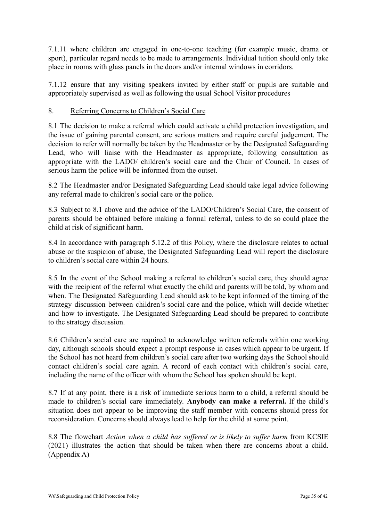7.1.11 where children are engaged in one-to-one teaching (for example music, drama or sport), particular regard needs to be made to arrangements. Individual tuition should only take place in rooms with glass panels in the doors and/or internal windows in corridors.

7.1.12 ensure that any visiting speakers invited by either staff or pupils are suitable and appropriately supervised as well as following the usual School Visitor procedures

#### <span id="page-34-0"></span>8. Referring Concerns to Children's Social Care

8.1 The decision to make a referral which could activate a child protection investigation, and the issue of gaining parental consent, are serious matters and require careful judgement. The decision to refer will normally be taken by the Headmaster or by the Designated Safeguarding Lead, who will liaise with the Headmaster as appropriate, following consultation as appropriate with the LADO/ children's social care and the Chair of Council. In cases of serious harm the police will be informed from the outset.

8.2 The Headmaster and/or Designated Safeguarding Lead should take legal advice following any referral made to children's social care or the police.

8.3 Subject to 8.1 above and the advice of the LADO/Children's Social Care, the consent of parents should be obtained before making a formal referral, unless to do so could place the child at risk of significant harm.

8.4 In accordance with paragraph 5.12.2 of this Policy, where the disclosure relates to actual abuse or the suspicion of abuse, the Designated Safeguarding Lead will report the disclosure to children's social care within 24 hours.

8.5 In the event of the School making a referral to children's social care, they should agree with the recipient of the referral what exactly the child and parents will be told, by whom and when. The Designated Safeguarding Lead should ask to be kept informed of the timing of the strategy discussion between children's social care and the police, which will decide whether and how to investigate. The Designated Safeguarding Lead should be prepared to contribute to the strategy discussion.

8.6 Children's social care are required to acknowledge written referrals within one working day, although schools should expect a prompt response in cases which appear to be urgent. If the School has not heard from children's social care after two working days the School should contact children's social care again. A record of each contact with children's social care, including the name of the officer with whom the School has spoken should be kept.

8.7 If at any point, there is a risk of immediate serious harm to a child, a referral should be made to children's social care immediately. **Anybody can make a referral.** If the child's situation does not appear to be improving the staff member with concerns should press for reconsideration. Concerns should always lead to help for the child at some point.

8.8 The flowchart *Action when a child has suffered or is likely to suffer harm* from KCSIE (2021) illustrates the action that should be taken when there are concerns about a child. (Appendix A)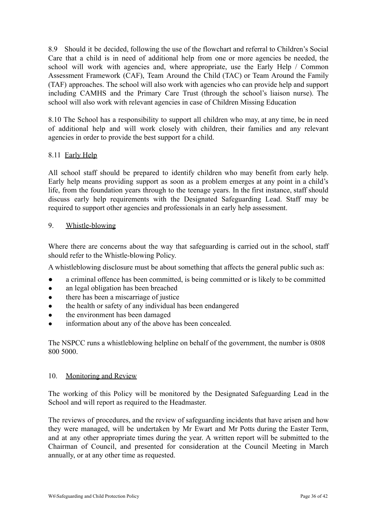8.9 Should it be decided, following the use of the flowchart and referral to Children's Social Care that a child is in need of additional help from one or more agencies be needed, the school will work with agencies and, where appropriate, use the Early Help / Common Assessment Framework (CAF), Team Around the Child (TAC) or Team Around the Family (TAF) approaches. The school will also work with agencies who can provide help and support including CAMHS and the Primary Care Trust (through the school's liaison nurse). The school will also work with relevant agencies in case of Children Missing Education

8.10 The School has a responsibility to support all children who may, at any time, be in need of additional help and will work closely with children, their families and any relevant agencies in order to provide the best support for a child.

# 8.11 Early Help

All school staff should be prepared to identify children who may benefit from early help. Early help means providing support as soon as a problem emerges at any point in a child's life, from the foundation years through to the teenage years. In the first instance, staff should discuss early help requirements with the Designated Safeguarding Lead. Staff may be required to support other agencies and professionals in an early help assessment.

#### <span id="page-35-0"></span>9. Whistle-blowing

Where there are concerns about the way that safeguarding is carried out in the school, staff should refer to the Whistle-blowing Policy.

A whistleblowing disclosure must be about something that affects the general public such as:

- a criminal offence has been committed, is being committed or is likely to be committed
- an legal obligation has been breached
- there has been a miscarriage of justice
- the health or safety of any individual has been endangered
- the environment has been damaged
- information about any of the above has been concealed.

The NSPCC runs a whistleblowing helpline on behalf of the government, the number is 0808 800 5000.

#### <span id="page-35-1"></span>10. Monitoring and Review

The working of this Policy will be monitored by the Designated Safeguarding Lead in the School and will report as required to the Headmaster.

The reviews of procedures, and the review of safeguarding incidents that have arisen and how they were managed, will be undertaken by Mr Ewart and Mr Potts during the Easter Term, and at any other appropriate times during the year. A written report will be submitted to the Chairman of Council, and presented for consideration at the Council Meeting in March annually, or at any other time as requested.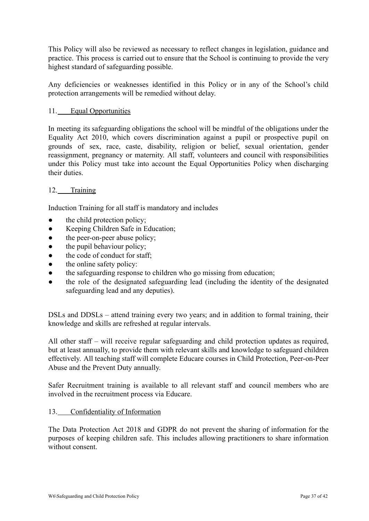This Policy will also be reviewed as necessary to reflect changes in legislation, guidance and practice. This process is carried out to ensure that the School is continuing to provide the very highest standard of safeguarding possible.

Any deficiencies or weaknesses identified in this Policy or in any of the School's child protection arrangements will be remedied without delay.

## <span id="page-36-0"></span>11. Equal Opportunities

In meeting its safeguarding obligations the school will be mindful of the obligations under the Equality Act 2010, which covers discrimination against a pupil or prospective pupil on grounds of sex, race, caste, disability, religion or belief, sexual orientation, gender reassignment, pregnancy or maternity. All staff, volunteers and council with responsibilities under this Policy must take into account the Equal Opportunities Policy when discharging their duties.

#### <span id="page-36-1"></span>12. Training

Induction Training for all staff is mandatory and includes

- $\bullet$  the child protection policy;
- Keeping Children Safe in Education;
- the peer-on-peer abuse policy;
- $\bullet$  the pupil behaviour policy;
- the code of conduct for staff;
- the online safety policy:
- the safeguarding response to children who go missing from education;
- the role of the designated safeguarding lead (including the identity of the designated safeguarding lead and any deputies).

DSLs and DDSLs – attend training every two years; and in addition to formal training, their knowledge and skills are refreshed at regular intervals.

All other staff – will receive regular safeguarding and child protection updates as required, but at least annually, to provide them with relevant skills and knowledge to safeguard children effectively. All teaching staff will complete Educare courses in Child Protection, Peer-on-Peer Abuse and the Prevent Duty annually.

Safer Recruitment training is available to all relevant staff and council members who are involved in the recruitment process via Educare.

#### <span id="page-36-2"></span>13. Confidentiality of Information

The Data Protection Act 2018 and GDPR do not prevent the sharing of information for the purposes of keeping children safe. This includes allowing practitioners to share information without consent.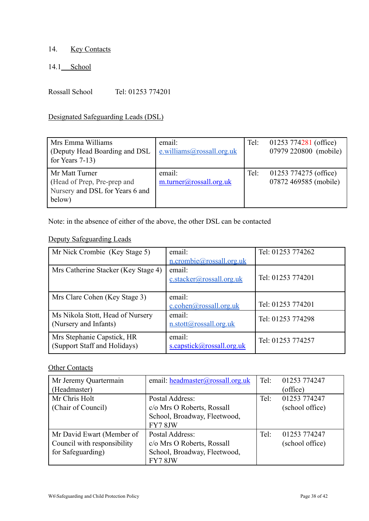# <span id="page-37-0"></span>14. Key Contacts

<span id="page-37-1"></span>14.1 School

Rossall School Tel: 01253 774201

# Designated Safeguarding Leads (DSL)

| Mrs Emma Williams<br>Collector General Boarding and DSL<br>for Years $7-13$ )              | email:<br>$e.$ williams@rossall.org.uk | Tel: | 01253 774281 (office)<br>07979 220800 (mobile) |
|--------------------------------------------------------------------------------------------|----------------------------------------|------|------------------------------------------------|
| Mr Matt Turner<br>(Head of Prep, Pre-prep and<br>Nursery and DSL for Years 6 and<br>below) | email:<br>m.turner@rossall.org.uk      | Tel: | 01253 774275 (office)<br>07872 469585 (mobile) |

Note: in the absence of either of the above, the other DSL can be contacted

# Deputy Safeguarding Leads

| Mr Nick Crombie (Key Stage 5)       | email:                                                                              | Tel: 01253 774262 |
|-------------------------------------|-------------------------------------------------------------------------------------|-------------------|
|                                     | n.crombie@rossall.org.uk                                                            |                   |
| Mrs Catherine Stacker (Key Stage 4) | email:                                                                              |                   |
|                                     | $c.\ensuremath{\text{stacker}}\xspace(\ensuremath{\text{a}}\xspace)$ rossall.org.uk | Tel: 01253 774201 |
|                                     |                                                                                     |                   |
| Mrs Clare Cohen (Key Stage 3)       | email:                                                                              |                   |
|                                     | $c$ .cohen@rossall.org.uk                                                           | Tel: 01253 774201 |
| Ms Nikola Stott, Head of Nursery    | email:                                                                              | Tel: 01253 774298 |
| (Nursery and Infants)               | n. stott@rossall.org.uk                                                             |                   |
| Mrs Stephanie Capstick, HR          | email:                                                                              | Tel: 01253 774257 |
| (Support Staff and Holidays)        | s.capstick@rossall.org.uk                                                           |                   |
|                                     |                                                                                     |                   |

#### **Other Contacts**

| Mr Jeremy Quartermain       | email: headmaster@rossall.org.uk | Tel: | 01253 774247    |
|-----------------------------|----------------------------------|------|-----------------|
| (Headmaster)                |                                  |      | (office)        |
| Mr Chris Holt               | Postal Address:                  | Tel: | 01253 774247    |
| (Chair of Council)          | c/o Mrs O Roberts, Rossall       |      | (school office) |
|                             | School, Broadway, Fleetwood,     |      |                 |
|                             | FY78JW                           |      |                 |
| Mr David Ewart (Member of   | Postal Address:                  | Tel: | 01253 774247    |
| Council with responsibility | c/o Mrs O Roberts, Rossall       |      | (school office) |
| for Safeguarding)           | School, Broadway, Fleetwood,     |      |                 |
|                             | FY78JW                           |      |                 |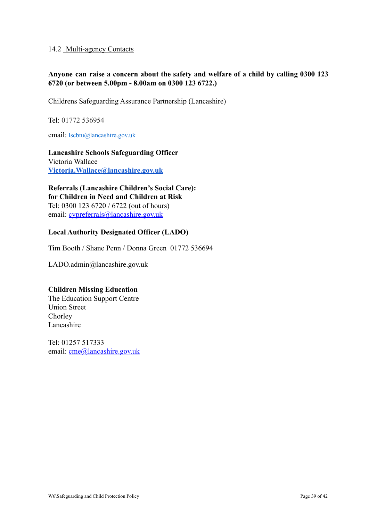#### <span id="page-38-0"></span>14.2 Multi-agency Contacts

# **Anyone can raise a concern about the safety and welfare of a child by calling 0300 123 6720 (or between 5.00pm - 8.00am on 0300 123 6722.)**

Childrens Safeguarding Assurance Partnership (Lancashire)

Tel: 01772 536954

email: lscbtu@lancashire.gov.uk

**Lancashire Schools Safeguarding Officer** Victoria Wallace **[Victoria.Wallace@lancashire.gov.uk](mailto:Victoria.Wallace@lancashire.gov.uk)**

**Referrals (Lancashire Children's Social Care): for Children in Need and Children at Risk** Tel: 0300 123 6720 / 6722 (out of hours) email: [cypreferrals@lancashire.gov.uk](mailto:cypreferrals@lancashire.gov.uk)

#### **Local Authority Designated Officer (LADO)**

Tim Booth / Shane Penn / Donna Green 01772 536694

LADO.admin@lancashire.gov.uk

#### **Children Missing Education**

The Education Support Centre Union Street **Chorley** Lancashire

Tel: 01257 517333 email: [cme@lancashire.gov.uk](mailto:cme@lancashire.gov.uk)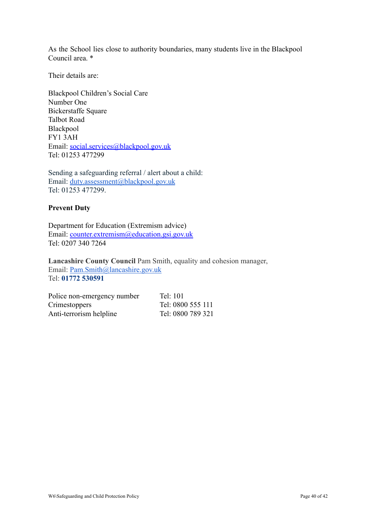As the School lies close to authority boundaries, many students live in the Blackpool Council area. \*

Their details are:

Blackpool Children's Social Care Number One Bickerstaffe Square Talbot Road Blackpool FY1 3AH Email: [social.services@blackpool.gov.uk](mailto:social.services@blackpool.gov.uk) Tel: 01253 477299

Sending a safeguarding referral / alert about a child: Email: [duty.assessment@blackpool.gov.uk](mailto:duty.assessment@blackpool.gov.uk) Tel: 01253 477299.

# **Prevent Duty**

Department for Education (Extremism advice) Email: [counter.extremism@education.gsi.gov.uk](mailto:counter.extremism@education.gsi.gov.uk) Tel: 0207 340 7264

**Lancashire County Council** Pam Smith, equality and cohesion manager, Email: [Pam.Smith@lancashire.gov.uk](mailto:Pam.Smith@lancashire.gov.uk) Tel: **01772 530591**

| Police non-emergency number | Tel: 101          |
|-----------------------------|-------------------|
| Crimestoppers               | Tel: 0800 555 111 |
| Anti-terrorism helpline     | Tel: 0800 789 321 |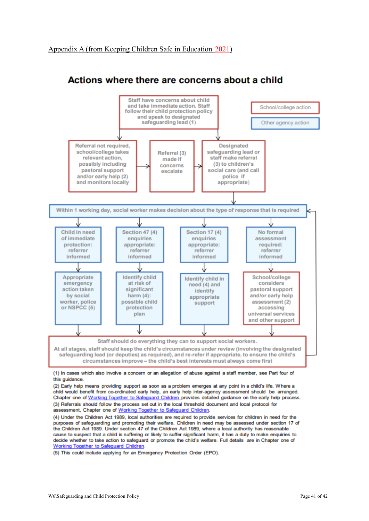# <span id="page-40-0"></span>Actions where there are concerns about a child



(2) Early help means providing support as soon as a problem emerges at any point in a child's life. Where a child would benefit from co-ordinated early help, an early help inter-agency assessment should be arranged. Chapter one of Working Together to Safeguard Children provides detailed guidance on the early help process. (3) Referrals should follow the process set out in the local threshold document and local protocol for assessment. Chapter one of Working Together to Safeguard Children.

(4) Under the Children Act 1989, local authorities are required to provide services for children in need for the purposes of safeguarding and promoting their welfare. Children in need may be assessed under section 17 of the Children Act 1989. Under section 47 of the Children Act 1989, where a local authority has reasonable cause to suspect that a child is suffering or likely to suffer significant harm, it has a duty to make enquiries to decide whether to take action to safeguard or promote the child's welfare. Full details are in Chapter one of Working Together to Safeguard Children

(5) This could include applying for an Emergency Protection Order (EPO).